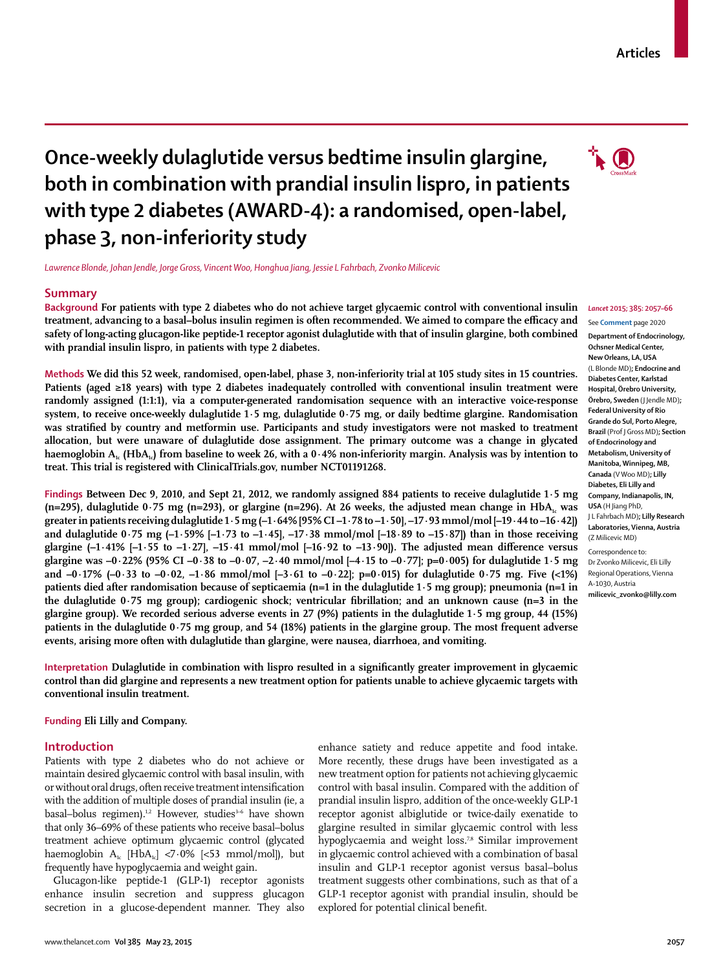# **Once-weekly dulaglutide versus bedtime insulin glargine, both in combination with prandial insulin lispro, in patients with type 2 diabetes (AWARD-4): a randomised, open-label, phase 3, non-inferiority study**

*Lawrence Blonde, Johan Jendle, Jorge Gross, Vincent Woo, Honghua Jiang, Jessie L Fahrbach, Zvonko Milicevic*

#### **Summary**

**Background For patients with type 2 diabetes who do not achieve target glycaemic control with conventional insulin**  treatment, advancing to a basal–bolus insulin regimen is often recommended. We aimed to compare the efficacy and **safety of long-acting glucagon-like peptide-1 receptor agonist dulaglutide with that of insulin glargine, both combined with prandial insulin lispro, in patients with type 2 diabetes.**

**Methods We did this 52 week, randomised, open-label, phase 3, non-inferiority trial at 105 study sites in 15 countries. Patients (aged ≥18 years) with type 2 diabetes inadequately controlled with conventional insulin treatment were randomly assigned (1:1:1), via a computer-generated randomisation sequence with an interactive voice-response system, to receive once-weekly dulaglutide 1∙5 mg, dulaglutide 0∙75 mg, or daily bedtime glargine. Randomisation**  was stratified by country and metformin use. Participants and study investigators were not masked to treatment **allocation, but were unaware of dulaglutide dose assignment. The primary outcome was a change in glycated**  haemoglobin A<sub>1c</sub> (HbA<sub>1c</sub>) from baseline to week 26, with a 0.4% non-inferiority margin. Analysis was by intention to **treat. This trial is registered with ClinicalTrials.gov, number NCT01191268.**

**Findings Between Dec 9, 2010, and Sept 21, 2012, we randomly assigned 884 patients to receive dulaglutide 1∙5 mg**  (n=295), dulaglutide 0*∙75* mg (n=293), or glargine (n=296). At 26 weeks, the adjusted mean change in HbA<sub>1c</sub> was **greater in patients receiving dulaglutide 1∙5 mg (–1∙64% [95% CI –1∙78 to –1∙50], –17∙93 mmol/mol [–19∙44 to –16∙42]) and dulaglutide 0∙75 mg (–1∙59% [–1∙73 to –1∙45], –17∙38 mmol/mol [–18∙89 to –15∙87]) than in those receiving**  glargine (-1⋅41% [-1⋅55 to -1⋅27], -15⋅41 mmol/mol [-16⋅92 to -13⋅90]). The adjusted mean difference versus **glargine was –0∙22% (95% CI –0∙38 to –0∙07, –2∙40 mmol/mol [–4∙15 to –0∙77]; p=0·005) for dulaglutide 1∙5 mg and –0∙17% (–0∙33 to –0∙02, –1∙86 mmol/mol [–3∙61 to –0∙22]; p=0·015) for dulaglutide 0∙75 mg. Five (<1%) patients died after randomisation because of septicaemia (n=1 in the dulaglutide 1∙5 mg group); pneumonia (n=1 in**  the dulaglutide 0⋅75 mg group); cardiogenic shock; ventricular fibrillation; and an unknown cause (n=3 in the **glargine group). We recorded serious adverse events in 27 (9%) patients in the dulaglutide 1∙5 mg group, 44 (15%) patients in the dulaglutide 0∙75 mg group, and 54 (18%) patients in the glargine group. The most frequent adverse events, arising more often with dulaglutide than glargine, were nausea, diarrhoea, and vomiting.**

Interpretation Dulaglutide in combination with lispro resulted in a significantly greater improvement in glycaemic **control than did glargine and represents a new treatment option for patients unable to achieve glycaemic targets with conventional insulin treatment.**

**Funding Eli Lilly and Company.**

#### **Introduction**

Patients with type 2 diabetes who do not achieve or maintain desired glycaemic control with basal insulin, with or without oral drugs, often receive treatment intensification with the addition of multiple doses of prandial insulin (ie, a basal–bolus regimen).<sup>1,2</sup> However, studies<sup>3-6</sup> have shown that only 36–69% of these patients who receive basal–bolus treatment achieve optimum glycaemic control (glycated haemoglobin  $A_{1c}$  [Hb $A_{1c}$ ] <7⋅0% [<53 mmol/mol]), but frequently have hypoglycaemia and weight gain.

Glucagon-like peptide-1 (GLP-1) receptor agonists enhance insulin secretion and suppress glucagon secretion in a glucose-dependent manner. They also enhance satiety and reduce appetite and food intake. More recently, these drugs have been investigated as a new treatment option for patients not achieving glycaemic control with basal insulin. Compared with the addition of prandial insulin lispro, addition of the once-weekly GLP-1 receptor agonist albiglutide or twice-daily exenatide to glargine resulted in similar glycaemic control with less hypoglycaemia and weight loss.<sup>7,8</sup> Similar improvement in glycaemic control achieved with a combination of basal insulin and GLP-1 receptor agonist versus basal–bolus treatment suggests other combinations, such as that of a GLP-1 receptor agonist with prandial insulin, should be explored for potential clinical benefit.

#### *Lancet* **2015; 385: 2057–66**

See **Comment** page 2020

**Department of Endocrinology, Ochsner Medical Center, New Orleans, LA, USA**  (L Blonde MD)**; Endocrine and Diabetes Center, Karlstad Hospital, Örebro University, Örebro, Sweden** (J Jendle MD)**; Federal University of Rio Grande do Sul, Porto Alegre, Brazil** (Prof J Gross MD)**; Section of Endocrinology and Metabolism, University of Manitoba, Winnipeg, MB, Canada** (V Woo MD)**; Lilly Diabetes, Eli Lilly and Company, Indianapolis, IN, USA** (H Jiang PhD, J L Fahrbach MD)**; Lilly Research Laboratories, Vienna, Austria**  (Z Milicevic MD) Correspondence to:

Dr Zvonko Milicevic, Eli Lilly Regional Operations, Vienna A-1030, Austria **milicevic\_zvonko@lilly.com**

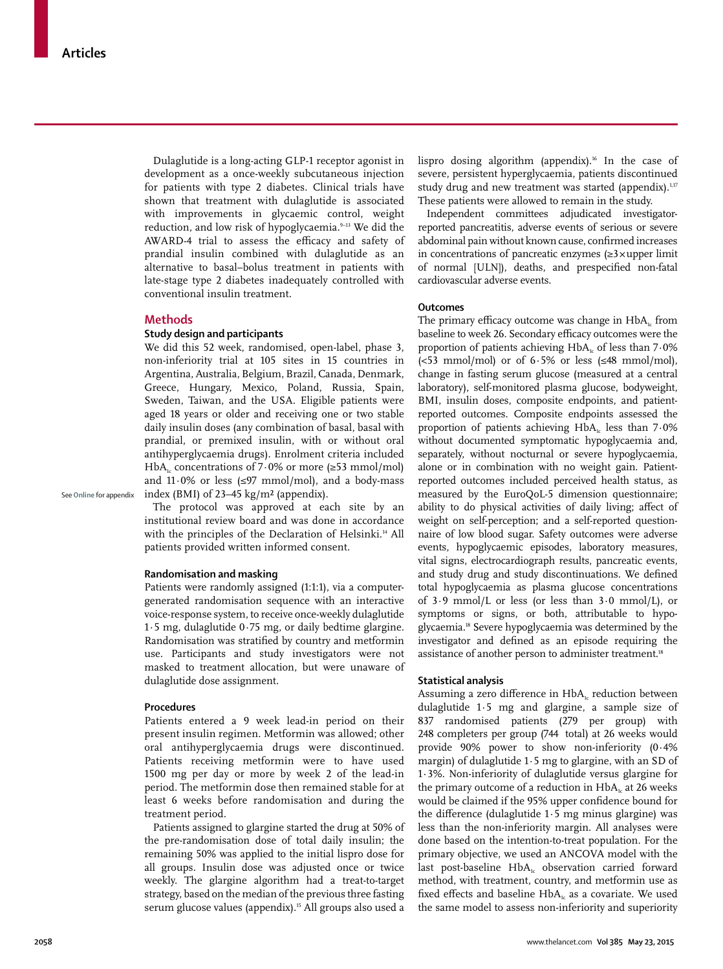Dulaglutide is a long-acting GLP-1 receptor agonist in development as a once-weekly subcutaneous injection for patients with type 2 diabetes. Clinical trials have shown that treatment with dulaglutide is associated with improvements in glycaemic control, weight reduction, and low risk of hypoglycaemia.<sup>9-13</sup> We did the AWARD-4 trial to assess the efficacy and safety of prandial insulin combined with dulaglutide as an alternative to basal–bolus treatment in patients with late-stage type 2 diabetes inadequately controlled with conventional insulin treatment.

#### **Methods**

#### **Study design and participants**

We did this 52 week, randomised, open-label, phase 3, non-inferiority trial at 105 sites in 15 countries in Argentina, Australia, Belgium, Brazil, Canada, Denmark, Greece, Hungary, Mexico, Poland, Russia, Spain, Sweden, Taiwan, and the USA. Eligible patients were aged 18 years or older and receiving one or two stable daily insulin doses (any combination of basal, basal with prandial, or premixed insulin, with or without oral antihyperglycaemia drugs). Enrolment criteria included HbA<sub>1c</sub> concentrations of 7⋅0% or more (≥53 mmol/mol) and 11∙0% or less (≤97 mmol/mol), and a body-mass index (BMI) of 23–45 kg/m² (appendix).

See **Online** for appendix

The protocol was approved at each site by an institutional review board and was done in accordance with the principles of the Declaration of Helsinki.<sup>14</sup> All patients provided written informed consent.

#### **Randomisation and masking**

Patients were randomly assigned (1:1:1), via a computergenerated randomisation sequence with an interactive voice-response system, to receive once-weekly dulaglutide 1∙5 mg, dulaglutide 0∙75 mg, or daily bedtime glargine. Randomisation was stratified by country and metformin use. Participants and study investigators were not masked to treatment allocation, but were unaware of dulaglutide dose assignment.

#### **Procedures**

Patients entered a 9 week lead-in period on their present insulin regimen. Metformin was allowed; other oral antihyperglycaemia drugs were discontinued. Patients receiving metformin were to have used 1500 mg per day or more by week 2 of the lead-in period. The metformin dose then remained stable for at least 6 weeks before randomisation and during the treatment period.

Patients assigned to glargine started the drug at 50% of the pre-randomisation dose of total daily insulin; the remaining 50% was applied to the initial lispro dose for all groups. Insulin dose was adjusted once or twice weekly. The glargine algorithm had a treat-to-target strategy, based on the median of the previous three fasting serum glucose values (appendix).<sup>15</sup> All groups also used a lispro dosing algorithm (appendix).<sup>16</sup> In the case of severe, persistent hyperglycaemia, patients discontinued study drug and new treatment was started (appendix).<sup>1,17</sup> These patients were allowed to remain in the study.

Independent committees adjudicated investigatorreported pancreatitis, adverse events of serious or severe abdominal pain without known cause, confirmed increases in concentrations of pancreatic enzymes (≥3 × upper limit of normal [ULN]), deaths, and prespecified non-fatal cardiovascular adverse events.

#### **Outcomes**

The primary efficacy outcome was change in  $HbA<sub>k</sub>$  from baseline to week 26. Secondary efficacy outcomes were the proportion of patients achieving HbA<sub>1c</sub> of less than 7∙0% (<53 mmol/mol) or of 6∙5% or less (≤48 mmol/mol), change in fasting serum glucose (measured at a central laboratory), self-monitored plasma glucose, bodyweight, BMI, insulin doses, composite endpoints, and patientreported outcomes. Composite endpoints assessed the proportion of patients achieving HbA<sub>1c</sub> less than 7⋅0% without documented symptomatic hypoglycaemia and, separately, without nocturnal or severe hypoglycaemia, alone or in combination with no weight gain. Patientreported outcomes included perceived health status, as measured by the EuroQoL-5 dimension questionnaire; ability to do physical activities of daily living; affect of weight on self-perception; and a self-reported questionnaire of low blood sugar. Safety outcomes were adverse events, hypoglycaemic episodes, laboratory measures, vital signs, electrocardiograph results, pancreatic events, and study drug and study discontinuations. We defined total hypoglycaemia as plasma glucose concentrations of 3∙9 mmol/L or less (or less than 3∙0 mmol/L), or symptoms or signs, or both, attributable to hypoglycaemia.18 Severe hypoglycaemia was determined by the investigator and defined as an episode requiring the assistance of another person to administer treatment.<sup>18</sup>

#### **Statistical analysis**

Assuming a zero difference in  $HbA_i$  reduction between dulaglutide 1∙5 mg and glargine, a sample size of 837 randomised patients (279 per group) with 248 completers per group (744 total) at 26 weeks would provide 90% power to show non-inferiority (0∙4% margin) of dulaglutide 1∙5 mg to glargine, with an SD of 1∙3%. Non-inferiority of dulaglutide versus glargine for the primary outcome of a reduction in  $HbA<sub>1c</sub>$  at 26 weeks would be claimed if the 95% upper confidence bound for the difference (dulaglutide  $1.5$  mg minus glargine) was less than the non-inferiority margin. All analyses were done based on the intention-to-treat population. For the primary objective, we used an ANCOVA model with the last post-baseline HbA<sub>1c</sub> observation carried forward method, with treatment, country, and metformin use as fixed effects and baseline  $HbA<sub>i</sub>$  as a covariate. We used the same model to assess non-inferiority and superiority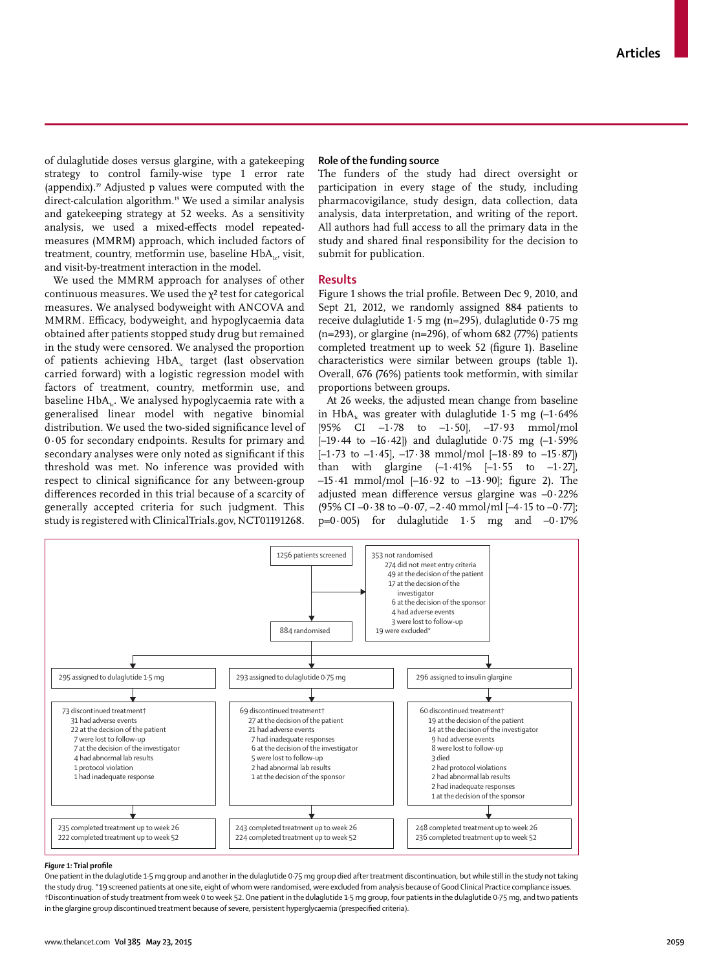of dulaglutide doses versus glargine, with a gatekeeping strategy to control family-wise type 1 error rate (appendix).19 Adjusted p values were computed with the direct-calculation algorithm.19 We used a similar analysis and gatekeeping strategy at 52 weeks. As a sensitivity analysis, we used a mixed-effects model repeatedmeasures (MMRM) approach, which included factors of treatment, country, metformin use, baseline  $HbA_{1c}$ , visit, and visit-by-treatment interaction in the model.

We used the MMRM approach for analyses of other continuous measures. We used the  $y^2$  test for categorical measures. We analysed bodyweight with ANCOVA and MMRM. Efficacy, bodyweight, and hypoglycaemia data obtained after patients stopped study drug but remained in the study were censored. We analysed the proportion of patients achieving HbA<sub>1c</sub> target (last observation carried forward) with a logistic regression model with factors of treatment, country, metformin use, and baseline HbA<sub>1c</sub>. We analysed hypoglycaemia rate with a generalised linear model with negative binomial distribution. We used the two-sided significance level of 0∙05 for secondary endpoints. Results for primary and secondary analyses were only noted as significant if this threshold was met. No inference was provided with respect to clinical significance for any between-group differences recorded in this trial because of a scarcity of generally accepted criteria for such judgment. This study is registered with ClinicalTrials.gov, NCT01191268.

#### **Role of the funding source**

The funders of the study had direct oversight or participation in every stage of the study, including pharmacovigilance, study design, data collection, data analysis, data interpretation, and writing of the report. All authors had full access to all the primary data in the study and shared final responsibility for the decision to submit for publication.

#### **Results**

Figure 1 shows the trial profile. Between Dec 9, 2010, and Sept 21, 2012, we randomly assigned 884 patients to receive dulaglutide 1∙5 mg (n=295), dulaglutide 0∙75 mg (n=293), or glargine (n=296), of whom 682 (77%) patients completed treatment up to week 52 (figure 1). Baseline characteristics were similar between groups (table 1). Overall, 676 (76%) patients took metformin, with similar proportions between groups.

At 26 weeks, the adjusted mean change from baseline in HbA<sub>1c</sub> was greater with dulaglutide 1⋅5 mg (-1⋅64%) [95% CI –1∙78 to –1∙50], –17∙93 mmol/mol [–19∙44 to –16∙42]) and dulaglutide 0∙75 mg (–1∙59% [–1∙73 to –1∙45], –17∙38 mmol/mol [–18∙89 to –15∙87]) than with glargine (–1∙41% [–1∙55 to –1∙27],  $-15·41$  mmol/mol  $[-16·92$  to  $-13·90$ ; figure 2). The adjusted mean difference versus glargine was –0∙22% (95% CI –0∙38 to –0∙07, –2∙40 mmol/ml [–4∙15 to –0∙77]; p=0·005) for dulaglutide 1∙5 mg and –0∙17%



#### *Figure 1:* **Trial profi le**

One patient in the dulaglutide 1·5 mg group and another in the dulaglutide 0·75 mg group died after treatment discontinuation, but while still in the study not taking the study drug. \*19 screened patients at one site, eight of whom were randomised, were excluded from analysis because of Good Clinical Practice compliance issues. †Discontinuation of study treatment from week 0 to week 52. One patient in the dulaglutide 1·5 mg group, four patients in the dulaglutide 0·75 mg, and two patients in the glargine group discontinued treatment because of severe, persistent hyperglycaemia (prespecified criteria).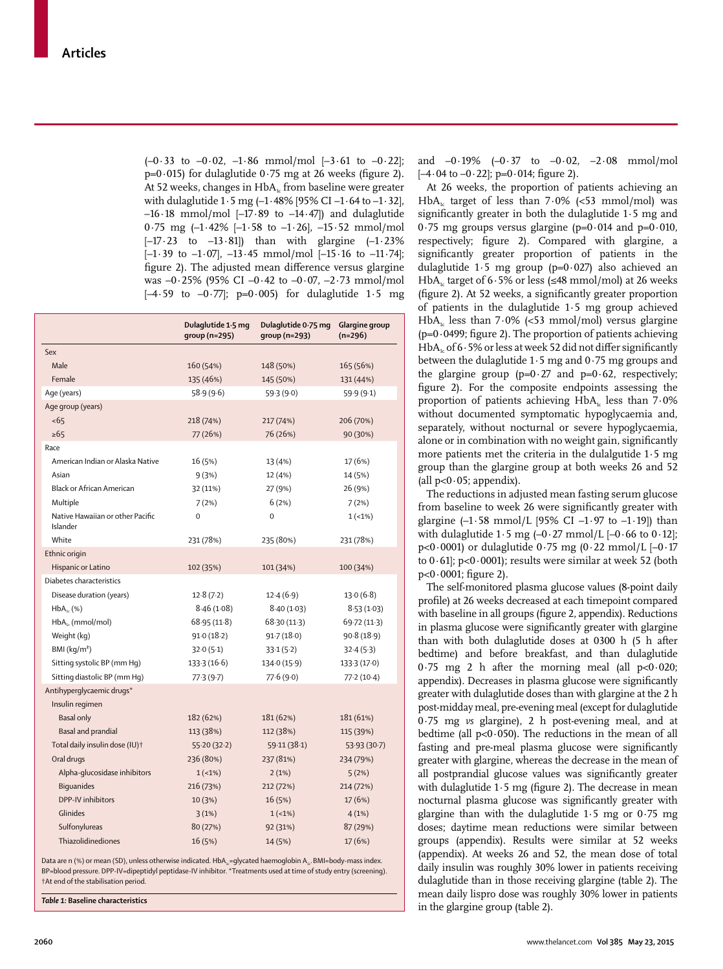(–0∙33 to –0∙02, –1∙86 mmol/mol [–3∙61 to –0∙22]; p=0⋅015) for dulaglutide 0⋅75 mg at 26 weeks (figure 2). At 52 weeks, changes in  $HbA<sub>i</sub>$  from baseline were greater with dulaglutide 1∙5 mg (–1∙48% [95% CI –1∙64 to –1∙32], –16∙18 mmol/mol [–17∙89 to –14∙47]) and dulaglutide 0∙75 mg (–1∙42% [–1∙58 to –1∙26], –15∙52 mmol/mol [–17∙23 to –13∙81]) than with glargine (–1∙23% [–1∙39 to –1∙07], –13∙45 mmol/mol [–15∙16 to –11∙74]; figure 2). The adjusted mean difference versus glargine was –0∙25% (95% CI –0∙42 to –0∙07, –2∙73 mmol/mol [–4∙59 to –0∙77]; p=0∙005) for dulaglutide 1∙5 mg

|                                              | Dulaglutide 1.5 mg<br>group (n=295) | Dulaglutide 0.75 mg<br>$qroup(n=293)$ | Glargine group<br>$(n=296)$ |
|----------------------------------------------|-------------------------------------|---------------------------------------|-----------------------------|
| Sex                                          |                                     |                                       |                             |
| Male                                         | 160 (54%)                           | 148 (50%)                             | 165 (56%)                   |
| Female                                       | 135 (46%)                           | 145 (50%)                             | 131 (44%)                   |
| Age (years)                                  | 58.9(9.6)                           | 59.3(9.0)                             | 59.9 (9.1)                  |
| Age group (years)                            |                                     |                                       |                             |
| $5 - 65$                                     | 218 (74%)                           | 217 (74%)                             | 206 (70%)                   |
| $\ge 65$                                     | 77 (26%)                            | 76 (26%)                              | 90 (30%)                    |
| Race                                         |                                     |                                       |                             |
| American Indian or Alaska Native             | 16 (5%)                             | 13 (4%)                               | 17 (6%)                     |
| Asian                                        | 9(3%)                               | 12 (4%)                               | 14 (5%)                     |
| Black or African American                    | 32 (11%)                            | 27 (9%)                               | 26 (9%)                     |
| Multiple                                     | 7(2%)                               | 6(2%)                                 | 7(2%)                       |
| Native Hawaiian or other Pacific<br>Islander | $\mathbf 0$                         | 0                                     | $1(-1%)$                    |
| White                                        | 231 (78%)                           | 235 (80%)                             | 231 (78%)                   |
| Ethnic origin                                |                                     |                                       |                             |
| Hispanic or Latino                           | 102 (35%)                           | 101 (34%)                             | 100 (34%)                   |
| Diabetes characteristics                     |                                     |                                       |                             |
| Disease duration (years)                     | 12.8(7.2)                           | 12.4(6.9)                             | 13.0(6.8)                   |
| $HbA_{1c}$ (%)                               | 8.46(1.08)                          | 8.40(1.03)                            | 8.53(1.03)                  |
| $HbA_{1c}$ (mmol/mol)                        | 68.95(11.8)                         | 68.30(11.3)                           | 69.72 (11.3)                |
| Weight (kg)                                  | 91.0(18.2)                          | 91.7(18.0)                            | 90.8(18.9)                  |
| $BMl$ (kg/m <sup>2</sup> )                   | 32.0(5.1)                           | 33.1(5.2)                             | 32.4(5.3)                   |
| Sitting systolic BP (mm Hq)                  | 133.3(16.6)                         | 134.0(15.9)                           | 133.3 (17.0)                |
| Sitting diastolic BP (mm Hg)                 | 77.3(9.7)                           | 77.6(9.0)                             | 77.2(10.4)                  |
| Antihyperglycaemic drugs*                    |                                     |                                       |                             |
| Insulin regimen                              |                                     |                                       |                             |
| <b>Basal only</b>                            | 182 (62%)                           | 181 (62%)                             | 181 (61%)                   |
| Basal and prandial                           | 113 (38%)                           | 112 (38%)                             | 115 (39%)                   |
| Total daily insulin dose (IU) <sup>+</sup>   | 55.20(32.2)                         | 59.11 (38.1)                          | 53.93 (30.7)                |
| Oral drugs                                   | 236 (80%)                           | 237 (81%)                             | 234 (79%)                   |
| Alpha-glucosidase inhibitors                 | $1(-1%)$                            | 2(1%)                                 | 5(2%)                       |
| <b>Biquanides</b>                            | 216 (73%)                           | 212 (72%)                             | 214 (72%)                   |
| DPP-IV inhibitors                            | 10 (3%)                             | 16 (5%)                               | 17 (6%)                     |
| Glinides                                     | 3(1%)                               | $1(-1%)$                              | 4(1%)                       |
| Sulfonylureas                                | 80 (27%)                            | 92 (31%)                              | 87 (29%)                    |
| Thiazolidinediones                           | 16 (5%)                             | 14 (5%)                               | 17 (6%)                     |

Data are n (%) or mean (SD), unless otherwise indicated. HbA<sub>1c</sub>=glycated haemoglobin A<sub>1c</sub>. BMI=body-mass index. BP=blood pressure. DPP-IV=dipeptidyl peptidase-IV inhibitor. \*Treatments used at time of study entry (screening). †At end of the stabilisation period.

*Table 1:* **Baseline characteristics**

and –0∙19% (–0∙37 to –0∙02, –2∙08 mmol/mol [–4⋅04 to –0⋅22]; p=0⋅014; figure 2).

At 26 weeks, the proportion of patients achieving an HbA1c target of less than 7∙0% (<53 mmol/mol) was significantly greater in both the dulaglutide 1⋅5 mg and 0·75 mg groups versus glargine (p=0∙014 and p=0∙010, respectively; figure 2). Compared with glargine, a significantly greater proportion of patients in the dulaglutide 1∙5 mg group (p=0∙027) also achieved an HbA1c target of 6∙5% or less (≤48 mmol/mol) at 26 weeks (figure 2). At 52 weeks, a significantly greater proportion of patients in the dulaglutide 1∙5 mg group achieved HbA1c less than 7∙0% (<53 mmol/mol) versus glargine (p=0⋅0499; figure 2). The proportion of patients achieving HbA<sub>1c</sub> of 6∙5% or less at week 52 did not differ significantly between the dulaglutide 1∙5 mg and 0∙75 mg groups and the glargine group (p= $0$ ⋅27 and p= $0$ ⋅62, respectively; figure 2). For the composite endpoints assessing the proportion of patients achieving HbA<sub>1c</sub> less than 7⋅0% without documented symptomatic hypoglycaemia and, separately, without nocturnal or severe hypoglycaemia, alone or in combination with no weight gain, significantly more patients met the criteria in the dulalgutide 1∙5 mg group than the glargine group at both weeks 26 and 52 (all p<0∙05; appendix).

The reductions in adjusted mean fasting serum glucose from baseline to week 26 were significantly greater with glargine (–1∙58 mmol/L [95% CI –1∙97 to –1∙19]) than with dulaglutide 1∙5 mg (–0∙27 mmol/L [–0∙66 to 0∙12]; p<0·0001) or dulaglutide 0∙75 mg (0∙22 mmol/L [–0∙17 to 0∙61]; p<0∙0001); results were similar at week 52 (both  $p < 0.0001$ ; figure 2).

The self-monitored plasma glucose values (8-point daily profile) at 26 weeks decreased at each timepoint compared with baseline in all groups (figure 2, appendix). Reductions in plasma glucose were significantly greater with glargine than with both dulaglutide doses at 0300 h (5 h after bedtime) and before breakfast, and than dulaglutide 0∙75 mg 2 h after the morning meal (all p<0∙020; appendix). Decreases in plasma glucose were significantly greater with dulaglutide doses than with glargine at the 2 h post-midday meal, pre-evening meal (except for dulaglutide 0∙75 mg *vs* glargine), 2 h post-evening meal, and at bedtime (all p<0∙050). The reductions in the mean of all fasting and pre-meal plasma glucose were significantly greater with glargine, whereas the decrease in the mean of all postprandial glucose values was significantly greater with dulaglutide 1⋅5 mg (figure 2). The decrease in mean nocturnal plasma glucose was significantly greater with glargine than with the dulaglutide 1∙5 mg or 0·75 mg doses; daytime mean reductions were similar between groups (appendix). Results were similar at 52 weeks (appendix). At weeks 26 and 52, the mean dose of total daily insulin was roughly 30% lower in patients receiving dulaglutide than in those receiving glargine (table 2). The mean daily lispro dose was roughly 30% lower in patients in the glargine group (table 2).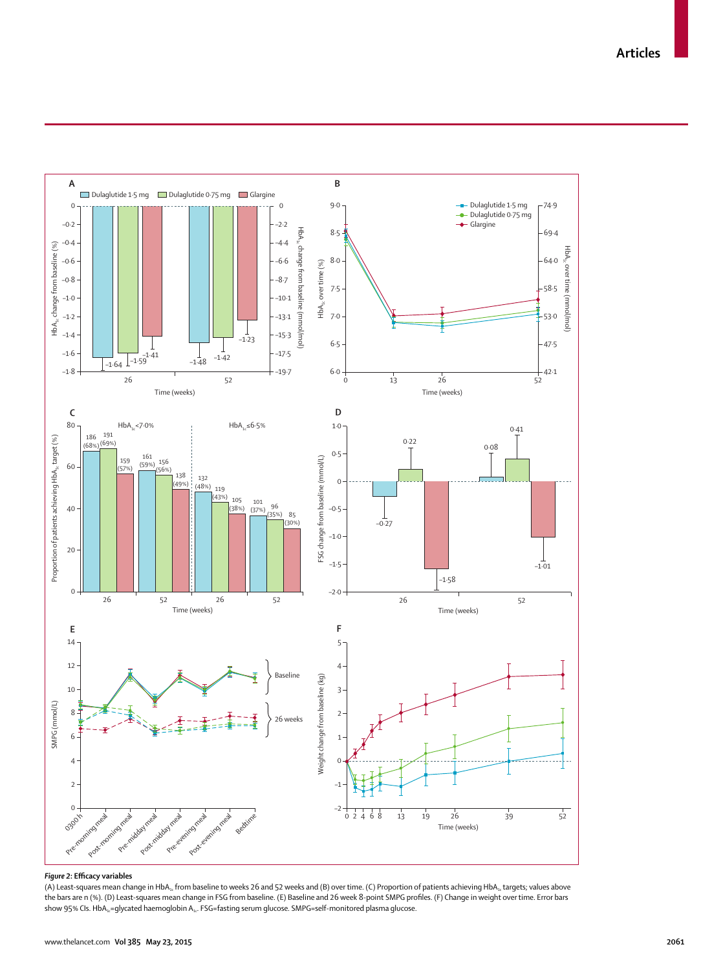**Articles**



#### *Figure 2***: Effi cacy variables**

(A) Least-squares mean change in HbA<sub>1c</sub> from baseline to weeks 26 and 52 weeks and (B) over time. (C) Proportion of patients achieving HbA<sub>1c</sub> targets; values above the bars are n (%). (D) Least-squares mean change in FSG from baseline. (E) Baseline and 26 week 8-point SMPG profiles. (F) Change in weight over time. Error bars show 95% CIs. HbA<sub>1c</sub>=glycated haemoglobin A<sub>1c</sub>. FSG=fasting serum glucose. SMPG=self-monitored plasma glucose.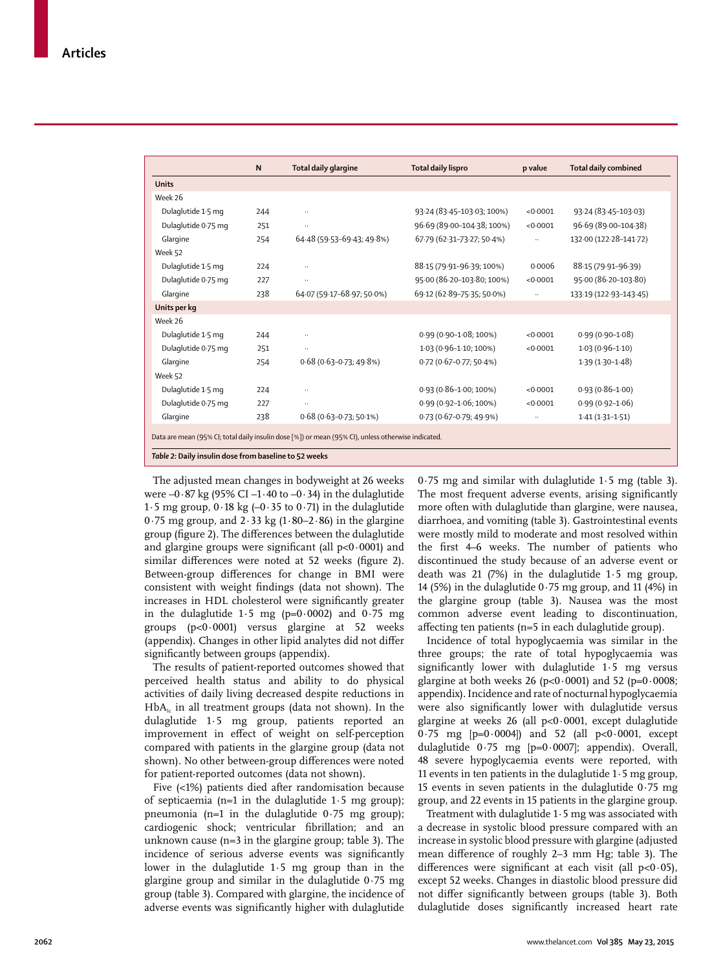|                     | N   |                                                                                                    |                            |           |                             |
|---------------------|-----|----------------------------------------------------------------------------------------------------|----------------------------|-----------|-----------------------------|
|                     |     | Total daily glargine                                                                               | Total daily lispro         | p value   | <b>Total daily combined</b> |
| <b>Units</b>        |     |                                                                                                    |                            |           |                             |
| Week 26             |     |                                                                                                    |                            |           |                             |
| Dulaglutide 1.5 mg  | 244 |                                                                                                    | 93.24 (83.45-103.03; 100%) | < 0.0001  | 93.24 (83.45-103.03)        |
| Dulaglutide 0.75 mg | 251 |                                                                                                    | 96.69 (89.00-104.38; 100%) | < 0.0001  | 96.69 (89.00-104.38)        |
| Glargine            | 254 | 64.48 (59.53-69.43; 49.8%)                                                                         | 67.79 (62.31-73.27; 50.4%) |           | 132.00 (122.28-141.72)      |
| Week 52             |     |                                                                                                    |                            |           |                             |
| Dulaglutide 1.5 mg  | 224 |                                                                                                    | 88.15 (79.91-96.39; 100%)  | 0.0006    | 88-15 (79-91-96-39)         |
| Dulaglutide 0.75 mg | 227 |                                                                                                    | 95.00 (86.20-103.80; 100%) | < 0.0001  | 95.00 (86.20-103.80)        |
| Glargine            | 238 | 64.07 (59.17-68.97; 50.0%)                                                                         | 69.12 (62.89-75.35; 50.0%) |           | 133-19 (122-93-143-45)      |
| Units per kg        |     |                                                                                                    |                            |           |                             |
| Week 26             |     |                                                                                                    |                            |           |                             |
| Dulaglutide 1.5 mg  | 244 |                                                                                                    | 0.99 (0.90-1.08; 100%)     | < 0.0001  | $0.99(0.90 - 1.08)$         |
| Dulaglutide 0.75 mg | 251 | $\ldots$                                                                                           | 1.03 (0.96-1.10; 100%)     | < 0.0001  | $1.03(0.96 - 1.10)$         |
| Glargine            | 254 | $0.68(0.63 - 0.73; 49.8%)$                                                                         | 0.72 (0.67-0.77; 50.4%)    |           | $1.39(1.30 - 1.48)$         |
| Week 52             |     |                                                                                                    |                            |           |                             |
| Dulaglutide 1.5 mg  | 224 |                                                                                                    | 0.93 (0.86-1.00; 100%)     | < 0.0001  | $0.93(0.86 - 1.00)$         |
| Dulaglutide 0.75 mg | 227 | $\ldots$                                                                                           | 0.99 (0.92-1.06; 100%)     | < 0.0001  | $0.99(0.92 - 1.06)$         |
| Glargine            | 238 | $0.68(0.63 - 0.73; 50.1\%)$                                                                        | 0.73 (0.67-0.79; 49.9%)    | $\ddotsc$ | $1.41(1.31 - 1.51)$         |
|                     |     |                                                                                                    |                            |           |                             |
|                     |     | Data are mean (95% CI; total daily insulin dose [%]) or mean (95% CI), unless otherwise indicated. |                            |           |                             |

*Table 2:* **Daily insulin dose from baseline to 52 weeks** 

The adjusted mean changes in bodyweight at 26 weeks were –0∙87 kg (95% CI –1∙40 to –0∙34) in the dulaglutide 1∙5 mg group, 0∙18 kg (–0∙35 to 0∙71) in the dulaglutide 0∙75 mg group, and 2∙33 kg (1∙80–2∙86) in the glargine group (figure 2). The differences between the dulaglutide and glargine groups were significant (all p<0⋅0001) and similar differences were noted at 52 weeks (figure 2). Between-group differences for change in BMI were consistent with weight findings (data not shown). The increases in HDL cholesterol were significantly greater in the dulaglutide  $1.5 \text{ mg}$  (p=0.0002) and 0.75 mg groups (p<0·0001) versus glargine at 52 weeks (appendix). Changes in other lipid analytes did not differ significantly between groups (appendix).

The results of patient-reported outcomes showed that perceived health status and ability to do physical activities of daily living decreased despite reductions in  $HbA<sub>i</sub>$  in all treatment groups (data not shown). In the dulaglutide 1∙5 mg group, patients reported an improvement in effect of weight on self-perception compared with patients in the glargine group (data not shown). No other between-group differences were noted for patient-reported outcomes (data not shown).

Five (<1%) patients died after randomisation because of septicaemia (n=1 in the dulaglutide 1∙5 mg group); pneumonia (n=1 in the dulaglutide 0∙75 mg group); cardiogenic shock; ventricular fibrillation; and an unknown cause (n=3 in the glargine group; table 3). The incidence of serious adverse events was significantly lower in the dulaglutide 1∙5 mg group than in the glargine group and similar in the dulaglutide 0∙75 mg group (table 3). Compared with glargine, the incidence of adverse events was significantly higher with dulaglutide 0∙75 mg and similar with dulaglutide 1∙5 mg (table 3). The most frequent adverse events, arising significantly more often with dulaglutide than glargine, were nausea, diarrhoea, and vomiting (table 3). Gastrointestinal events were mostly mild to moderate and most resolved within the first 4–6 weeks. The number of patients who discontinued the study because of an adverse event or death was 21 (7%) in the dulaglutide 1∙5 mg group, 14 (5%) in the dulaglutide 0∙75 mg group, and 11 (4%) in the glargine group (table 3). Nausea was the most common adverse event leading to discontinuation, affecting ten patients  $(n=5$  in each dulaglutide group).

Incidence of total hypoglycaemia was similar in the three groups; the rate of total hypoglycaemia was significantly lower with dulaglutide 1⋅5 mg versus glargine at both weeks 26 (p<0∙0001) and 52 (p=0∙0008; appendix). Incidence and rate of nocturnal hypoglycaemia were also significantly lower with dulaglutide versus glargine at weeks 26 (all p<0∙0001, except dulaglutide 0∙75 mg [p=0∙0004]) and 52 (all p<0∙0001, except dulaglutide 0∙75 mg [p=0∙0007]; appendix). Overall, 48 severe hypoglycaemia events were reported, with 11 events in ten patients in the dulaglutide 1∙5 mg group, 15 events in seven patients in the dulaglutide 0∙75 mg group, and 22 events in 15 patients in the glargine group.

Treatment with dulaglutide 1∙5 mg was associated with a decrease in systolic blood pressure compared with an increase in systolic blood pressure with glargine (adjusted mean difference of roughly 2-3 mm Hg; table 3). The differences were significant at each visit (all p<0⋅05), except 52 weeks. Changes in diastolic blood pressure did not differ significantly between groups (table 3). Both dulaglutide doses significantly increased heart rate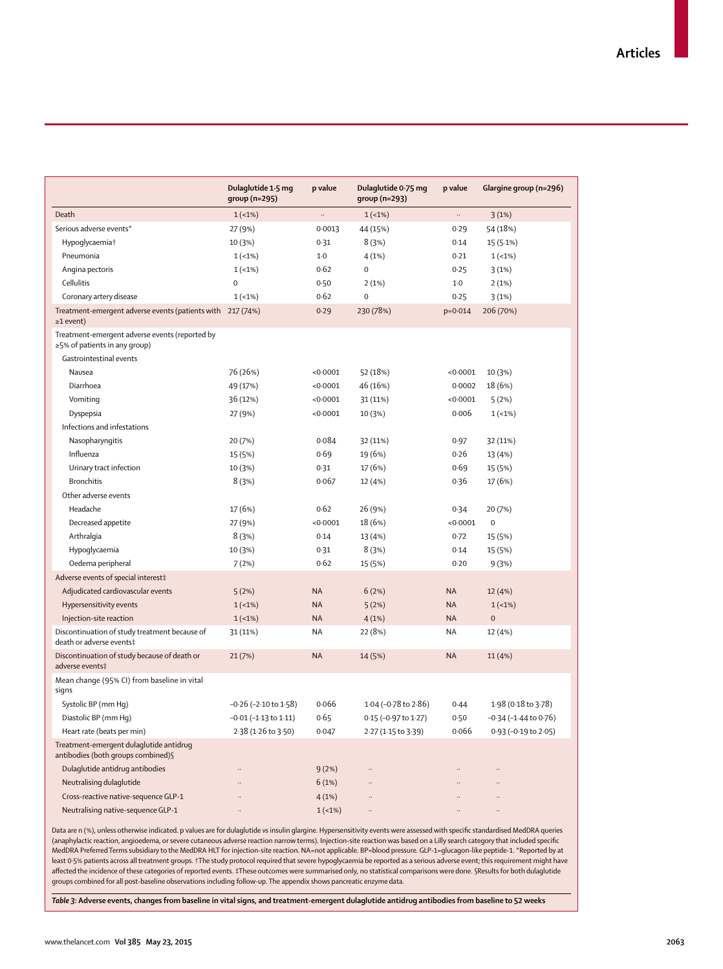|                                                                                       | Dulaglutide 1.5 mg            | p value   | Dulaglutide 0.75 mg  | p value     | Glargine group (n=296) |
|---------------------------------------------------------------------------------------|-------------------------------|-----------|----------------------|-------------|------------------------|
| Death                                                                                 | group (n=295)                 | $\ddots$  | group (n=293)        |             |                        |
| Serious adverse events*                                                               | $1(-1%)$                      | 0.0013    | $1(-1%)$             |             | 3(1%)                  |
|                                                                                       | 27 (9%)                       |           | 44 (15%)             | 0.29        | 54 (18%)               |
| Hypoglycaemia <sup>+</sup>                                                            | 10 (3%)                       | 0.31      | 8(3%)                | 0.14        | 15(5.1%)               |
| Pneumonia                                                                             | $1(-1%)$                      | $1-0$     | 4(1%)                | 0.21        | $1(-1%)$               |
| Angina pectoris                                                                       | $1(-1%)$                      | 0.62      | $\mathbf 0$          | 0.25        | 3(1%)                  |
| Cellulitis                                                                            | $\mathbf 0$                   | 0.50      | 2(1%)                | $1-0$       | 2(1%)                  |
| Coronary artery disease                                                               | $1(-1%)$                      | 0.62      | $\mathbf 0$          | 0.25        | 3(1%)                  |
| Treatment-emergent adverse events (patients with 217 (74%)<br>$\geq$ 1 event)         |                               | 0.29      | 230 (78%)            | $p = 0.014$ | 206 (70%)              |
| Treatment-emergent adverse events (reported by<br>$\geq$ 5% of patients in any group) |                               |           |                      |             |                        |
| Gastrointestinal events                                                               |                               |           |                      |             |                        |
| Nausea                                                                                | 76 (26%)                      | < 0.0001  | 52 (18%)             | < 0.0001    | 10 (3%)                |
| Diarrhoea                                                                             | 49 (17%)                      | < 0.0001  | 46 (16%)             | 0.0002      | 18 (6%)                |
| Vomiting                                                                              | 36 (12%)                      | < 0.0001  | 31 (11%)             | < 0.0001    | 5(2%)                  |
| Dyspepsia                                                                             | 27 (9%)                       | < 0.0001  | 10 (3%)              | 0.006       | $1(-1%)$               |
| Infections and infestations                                                           |                               |           |                      |             |                        |
| Nasopharyngitis                                                                       | 20 (7%)                       | 0.084     | 32 (11%)             | 0.97        | 32 (11%)               |
| Influenza                                                                             | 15 (5%)                       | 0.69      | 19 (6%)              | 0.26        | 13 (4%)                |
| Urinary tract infection                                                               | 10 (3%)                       | 0.31      | 17 (6%)              | 0.69        | 15 (5%)                |
| <b>Bronchitis</b>                                                                     | 8(3%)                         | 0.067     | 12 (4%)              | 0.36        | 17 (6%)                |
| Other adverse events                                                                  |                               |           |                      |             |                        |
| Headache                                                                              | 17 (6%)                       | 0.62      | 26 (9%)              | 0.34        | 20 (7%)                |
| Decreased appetite                                                                    | 27 (9%)                       | < 0.0001  | 18 (6%)              | < 0.0001    | $\mathbf 0$            |
| Arthralgia                                                                            | 8(3%)                         | 0.14      | 13 (4%)              | 0.72        | 15 (5%)                |
| Hypoglycaemia                                                                         | 10 (3%)                       | 0.31      | 8(3%)                | 0.14        | 15 (5%)                |
| Oedema peripheral                                                                     | 7(2%)                         | 0.62      | 15 (5%)              | 0.20        | 9(3%)                  |
| Adverse events of special interest‡                                                   |                               |           |                      |             |                        |
| Adjudicated cardiovascular events                                                     | 5(2%)                         | <b>NA</b> | 6(2%)                | <b>NA</b>   | 12 (4%)                |
| Hypersensitivity events                                                               | $1(-1%)$                      | <b>NA</b> | 5(2%)                | <b>NA</b>   | $1(-1%)$               |
| Injection-site reaction                                                               | $1(-1%)$                      | <b>NA</b> | 4(1%)                | <b>NA</b>   | $\overline{0}$         |
| Discontinuation of study treatment because of<br>death or adverse events‡             | 31 (11%)                      | NA        | 22 (8%)              | <b>NA</b>   | 12 (4%)                |
| Discontinuation of study because of death or<br>adverse events‡                       | 21(7%)                        | <b>NA</b> | 14 (5%)              | <b>NA</b>   | 11 (4%)                |
| Mean change (95% CI) from baseline in vital<br>signs                                  |                               |           |                      |             |                        |
| Systolic BP (mm Hq)                                                                   | $-0.26$ ( $-2.10$ to $1.58$ ) | 0.066     | 1.04 (-0.78 to 2.86) | 0.44        | 1.98 (0.18 to 3.78)    |
| Diastolic BP (mm Hq)                                                                  | -0.01 (-1.13 to 1.11)         | 0.65      | 0.15 (-0.97 to 1.27) | 0.50        | -0·34 (-1·44 to 0·76)  |
| Heart rate (beats per min)                                                            | 2.38 (1.26 to 3.50)           | 0.047     | 2.27 (1.15 to 3.39)  | 0.066       | 0.93 (-0.19 to 2.05)   |
| Treatment-emergent dulaglutide antidrug<br>antibodies (both groups combined) §        |                               |           |                      |             |                        |
| Dulaglutide antidrug antibodies                                                       |                               | 9(2%)     |                      |             |                        |
| Neutralising dulaglutide                                                              |                               | 6(1%)     |                      |             |                        |
| Cross-reactive native-sequence GLP-1                                                  |                               | 4(1%)     |                      |             |                        |
| Neutralising native-sequence GLP-1                                                    | $\ldots$                      | $1(-1%)$  |                      |             | $\ddotsc$              |

Data are n (%), unless otherwise indicated. p values are for dulaglutide vs insulin glargine. Hypersensitivity events were assessed with specific standardised MedDRA queries (anaphylactic reaction, angioedema, or severe cutaneous adverse reaction narrow terms). Injection-site reaction was based on a Lilly search category that included specifi c MedDRA Preferred Terms subsidiary to the MedDRA HLT for injection-site reaction. NA=not applicable. BP=blood pressure. GLP-1=glucagon-like peptide-1. \*Reported by at least 0·5% patients across all treatment groups. †The study protocol required that severe hypoglycaemia be reported as a serious adverse event; this requirement might have aff ected the incidence of these categories of reported events. ‡These outcomes were summarised only, no statistical comparisons were done. §Results for both dulaglutide groups combined for all post-baseline observations including follow-up. The appendix shows pancreatic enzyme data.

*Table 3:* **Adverse events, changes from baseline in vital signs, and treatment-emergent dulaglutide antidrug antibodies from baseline to 52 weeks**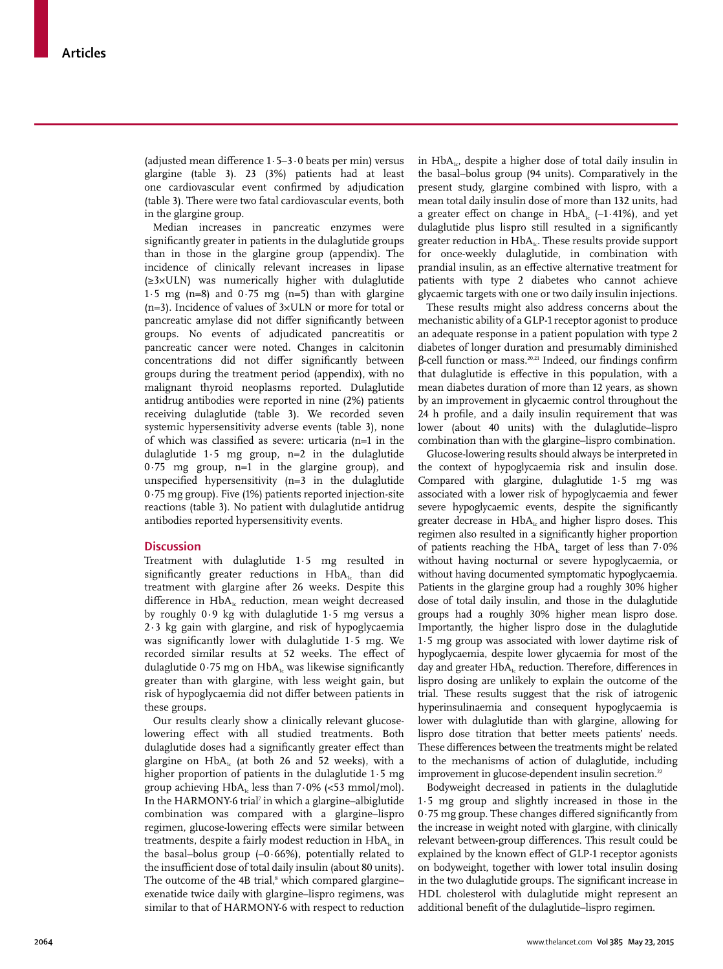(adjusted mean difference 1⋅5–3⋅0 beats per min) versus glargine (table 3). 23 (3%) patients had at least one cardiovascular event confirmed by adjudication (table 3). There were two fatal cardiovascular events, both in the glargine group.

Median increases in pancreatic enzymes were significantly greater in patients in the dulaglutide groups than in those in the glargine group (appendix). The incidence of clinically relevant increases in lipase (≥3×ULN) was numerically higher with dulaglutide 1.5 mg (n=8) and  $0.75$  mg (n=5) than with glargine (n=3). Incidence of values of 3×ULN or more for total or pancreatic amylase did not differ significantly between groups. No events of adjudicated pancreatitis or pancreatic cancer were noted. Changes in calcitonin concentrations did not differ significantly between groups during the treatment period (appendix), with no malignant thyroid neoplasms reported. Dulaglutide antidrug antibodies were reported in nine (2%) patients receiving dulaglutide (table 3). We recorded seven systemic hypersensitivity adverse events (table 3), none of which was classified as severe: urticaria (n=1 in the dulaglutide 1∙5 mg group, n=2 in the dulaglutide 0∙75 mg group, n=1 in the glargine group), and unspecified hypersensitivity  $(n=3$  in the dulaglutide 0∙75 mg group). Five (1%) patients reported injection-site reactions (table 3). No patient with dulaglutide antidrug antibodies reported hypersensitivity events.

#### **Discussion**

Treatment with dulaglutide 1∙5 mg resulted in significantly greater reductions in  $HbA<sub>1c</sub>$  than did treatment with glargine after 26 weeks. Despite this difference in  $HbA<sub>i</sub>$  reduction, mean weight decreased by roughly 0∙9 kg with dulaglutide 1∙5 mg versus a 2∙3 kg gain with glargine, and risk of hypoglycaemia was significantly lower with dulaglutide 1∙5 mg. We recorded similar results at 52 weeks. The effect of dulaglutide 0∙75 mg on HbA<sub>1</sub> was likewise significantly greater than with glargine, with less weight gain, but risk of hypoglycaemia did not differ between patients in these groups.

Our results clearly show a clinically relevant glucoselowering effect with all studied treatments. Both dulaglutide doses had a significantly greater effect than glargine on  $HbA<sub>1c</sub>$  (at both 26 and 52 weeks), with a higher proportion of patients in the dulaglutide 1∙5 mg group achieving HbA<sub>1c</sub> less than 7⋅0% (<53 mmol/mol). In the HARMONY-6 trial<sup>7</sup> in which a glargine-albiglutide combination was compared with a glargine–lispro regimen, glucose-lowering effects were similar between treatments, despite a fairly modest reduction in HbA<sub>1c</sub> in the basal–bolus group (–0∙66%), potentially related to the insufficient dose of total daily insulin (about 80 units). The outcome of the 4B trial,<sup>8</sup> which compared glargine– exenatide twice daily with glargine–lispro regimens, was similar to that of HARMONY-6 with respect to reduction

in  $HbA_{1c}$ , despite a higher dose of total daily insulin in the basal–bolus group (94 units). Comparatively in the present study, glargine combined with lispro, with a mean total daily insulin dose of more than 132 units, had a greater effect on change in HbA<sub>1c</sub> (-1⋅41%), and yet dulaglutide plus lispro still resulted in a significantly greater reduction in  $HbA_{1c}$ . These results provide support for once-weekly dulaglutide, in combination with prandial insulin, as an effective alternative treatment for patients with type 2 diabetes who cannot achieve glycaemic targets with one or two daily insulin injections.

These results might also address concerns about the mechanistic ability of a GLP-1 receptor agonist to produce an adequate response in a patient population with type 2 diabetes of longer duration and presumably diminished β-cell function or mass.<sup>20,21</sup> Indeed, our findings confirm that dulaglutide is effective in this population, with a mean diabetes duration of more than 12 years, as shown by an improvement in glycaemic control throughout the 24 h profile, and a daily insulin requirement that was lower (about 40 units) with the dulaglutide–lispro combination than with the glargine–lispro combination.

Glucose-lowering results should always be interpreted in the context of hypoglycaemia risk and insulin dose. Compared with glargine, dulaglutide 1∙5 mg was associated with a lower risk of hypoglycaemia and fewer severe hypoglycaemic events, despite the significantly greater decrease in  $HbA<sub>1c</sub>$  and higher lispro doses. This regimen also resulted in a significantly higher proportion of patients reaching the HbA<sub>1c</sub> target of less than 7⋅0% without having nocturnal or severe hypoglycaemia, or without having documented symptomatic hypoglycaemia. Patients in the glargine group had a roughly 30% higher dose of total daily insulin, and those in the dulaglutide groups had a roughly 30% higher mean lispro dose. Importantly, the higher lispro dose in the dulaglutide 1∙5 mg group was associated with lower daytime risk of hypoglycaemia, despite lower glycaemia for most of the day and greater HbA<sub>1c</sub> reduction. Therefore, differences in lispro dosing are unlikely to explain the outcome of the trial. These results suggest that the risk of iatrogenic hyperinsulinaemia and consequent hypoglycaemia is lower with dulaglutide than with glargine, allowing for lispro dose titration that better meets patients' needs. These differences between the treatments might be related to the mechanisms of action of dulaglutide, including improvement in glucose-dependent insulin secretion.<sup>22</sup>

Bodyweight decreased in patients in the dulaglutide 1∙5 mg group and slightly increased in those in the 0⋅75 mg group. These changes differed significantly from the increase in weight noted with glargine, with clinically relevant between-group differences. This result could be explained by the known effect of GLP-1 receptor agonists on bodyweight, together with lower total insulin dosing in the two dulaglutide groups. The significant increase in HDL cholesterol with dulaglutide might represent an additional benefit of the dulaglutide–lispro regimen.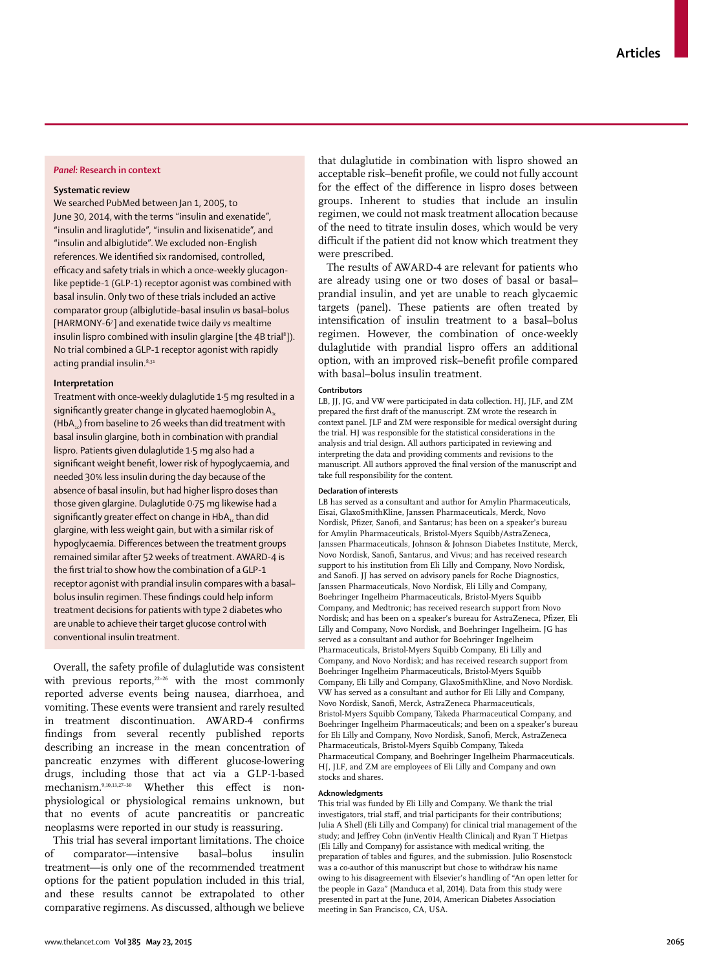#### *Panel:* **Research in context**

#### **Systematic review**

We searched PubMed between Jan 1, 2005, to June 30, 2014, with the terms "insulin and exenatide", "insulin and liraglutide", "insulin and lixisenatide", and "insulin and albiglutide". We excluded non-English references. We identified six randomised, controlled, efficacy and safety trials in which a once-weekly glucagonlike peptide-1 (GLP-1) receptor agonist was combined with basal insulin. Only two of these trials included an active comparator group (albiglutide–basal insulin *vs* basal–bolus [HARMONY-67 ] and exenatide twice daily *vs* mealtime insulin lispro combined with insulin glargine [the 4B trial $^{\rm 8}$ ]). No trial combined a GLP-1 receptor agonist with rapidly acting prandial insulin.<sup>8,31</sup>

#### **Interpretation**

Treatment with once-weekly dulaglutide 1·5 mg resulted in a significantly greater change in glycated haemoglobin  $A_{1c}$  $(HbA<sub>1</sub>)$  from baseline to 26 weeks than did treatment with basal insulin glargine, both in combination with prandial lispro. Patients given dulaglutide 1·5 mg also had a significant weight benefit, lower risk of hypoglycaemia, and needed 30% less insulin during the day because of the absence of basal insulin, but had higher lispro doses than those given glargine. Dulaglutide 0·75 mg likewise had a significantly greater effect on change in HbA<sub>1</sub>, than did glargine, with less weight gain, but with a similar risk of hypoglycaemia. Differences between the treatment groups remained similar after 52 weeks of treatment. AWARD-4 is the first trial to show how the combination of a GLP-1 receptor agonist with prandial insulin compares with a basal– bolus insulin regimen. These findings could help inform treatment decisions for patients with type 2 diabetes who are unable to achieve their target glucose control with conventional insulin treatment.

Overall, the safety profile of dulaglutide was consistent with previous reports,<sup>22-26</sup> with the most commonly reported adverse events being nausea, diarrhoea, and vomiting. These events were transient and rarely resulted in treatment discontinuation. AWARD-4 confirms findings from several recently published reports describing an increase in the mean concentration of pancreatic enzymes with different glucose-lowering drugs, including those that act via a GLP-1-based mechanism.<sup>9,10,13,27-30</sup> Whether this effect is nonphysiological or physiological remains unknown, but that no events of acute pancreatitis or pancreatic neoplasms were reported in our study is reassuring.

This trial has several important limitations. The choice of comparator—intensive basal–bolus insulin treatment—is only one of the recommended treatment options for the patient population included in this trial, and these results cannot be extrapolated to other comparative regimens. As discussed, although we believe

that dulaglutide in combination with lispro showed an acceptable risk-benefit profile, we could not fully account for the effect of the difference in lispro doses between groups. Inherent to studies that include an insulin regimen, we could not mask treatment allocation because of the need to titrate insulin doses, which would be very difficult if the patient did not know which treatment they were prescribed.

The results of AWARD-4 are relevant for patients who are already using one or two doses of basal or basal– prandial insulin, and yet are unable to reach glycaemic targets (panel). These patients are often treated by intensification of insulin treatment to a basal-bolus regimen. However, the combination of once-weekly dulaglutide with prandial lispro offers an additional option, with an improved risk–benefit profile compared with basal–bolus insulin treatment.

#### **Contributors**

LB, JJ, JG, and VW were participated in data collection. HJ, JLF, and ZM prepared the first draft of the manuscript. ZM wrote the research in context panel. JLF and ZM were responsible for medical oversight during the trial. HJ was responsible for the statistical considerations in the analysis and trial design. All authors participated in reviewing and interpreting the data and providing comments and revisions to the manuscript. All authors approved the final version of the manuscript and take full responsibility for the content.

#### **Declaration of interests**

LB has served as a consultant and author for Amylin Pharmaceuticals, Eisai, GlaxoSmithKline, Janssen Pharmaceuticals, Merck, Novo Nordisk, Pfizer, Sanofi, and Santarus; has been on a speaker's bureau for Amylin Pharmaceuticals, Bristol-Myers Squibb/AstraZeneca, Janssen Pharmaceuticals, Johnson & Johnson Diabetes Institute, Merck, Novo Nordisk, Sanofi , Santarus, and Vivus; and has received research support to his institution from Eli Lilly and Company, Novo Nordisk, and Sanofi. JJ has served on advisory panels for Roche Diagnostics, Janssen Pharmaceuticals, Novo Nordisk, Eli Lilly and Company, Boehringer Ingelheim Pharmaceuticals, Bristol-Myers Squibb Company, and Medtronic; has received research support from Novo Nordisk; and has been on a speaker's bureau for AstraZeneca, Pfizer, Eli Lilly and Company, Novo Nordisk, and Boehringer Ingelheim. JG has served as a consultant and author for Boehringer Ingelheim Pharmaceuticals, Bristol-Myers Squibb Company, Eli Lilly and Company, and Novo Nordisk; and has received research support from Boehringer Ingelheim Pharmaceuticals, Bristol-Myers Squibb Company, Eli Lilly and Company, GlaxoSmithKline, and Novo Nordisk. VW has served as a consultant and author for Eli Lilly and Company, Novo Nordisk, Sanofi, Merck, AstraZeneca Pharmaceuticals, Bristol-Myers Squibb Company, Takeda Pharmaceutical Company, and Boehringer Ingelheim Pharmaceuticals; and been on a speaker's bureau for Eli Lilly and Company, Novo Nordisk, Sanofi, Merck, AstraZeneca Pharmaceuticals, Bristol-Myers Squibb Company, Takeda Pharmaceutical Company, and Boehringer Ingelheim Pharmaceuticals. HJ, JLF, and ZM are employees of Eli Lilly and Company and own stocks and shares.

#### **Acknowledgments**

This trial was funded by Eli Lilly and Company. We thank the trial investigators, trial staff, and trial participants for their contributions; Julia A Shell (Eli Lilly and Company) for clinical trial management of the study; and Jeffrey Cohn (inVentiv Health Clinical) and Ryan T Hietpas (Eli Lilly and Company) for assistance with medical writing, the preparation of tables and figures, and the submission. Julio Rosenstock was a co-author of this manuscript but chose to withdraw his name owing to his disagreement with Elsevier's handling of "An open letter for the people in Gaza" (Manduca et al, 2014). Data from this study were presented in part at the June, 2014, American Diabetes Association meeting in San Francisco, CA, USA.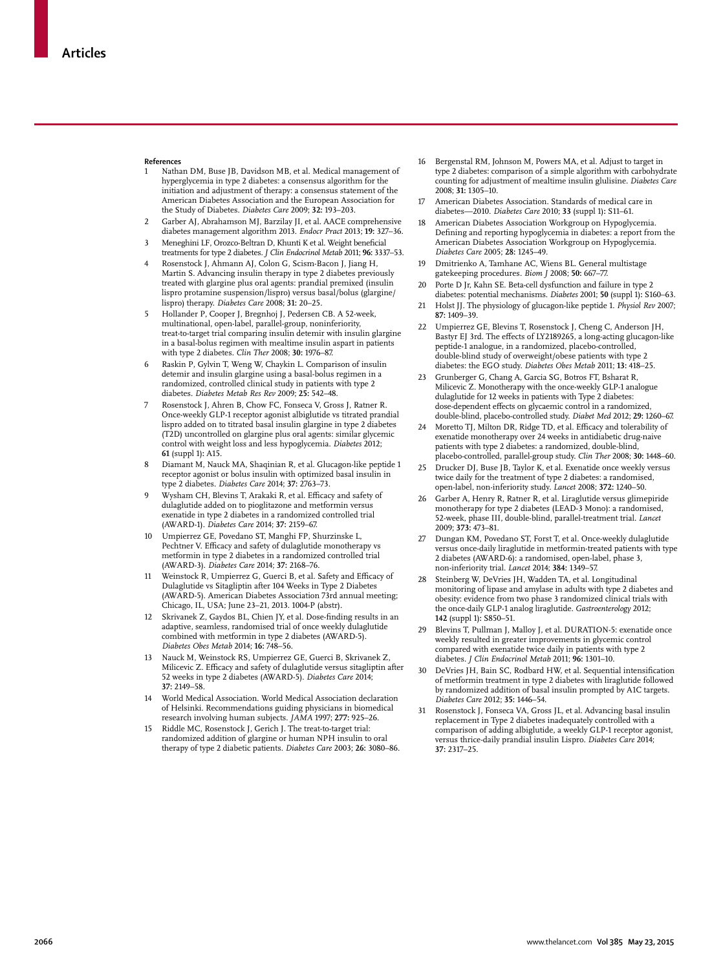#### **References**

- Nathan DM, Buse JB, Davidson MB, et al. Medical management of hyperglycemia in type 2 diabetes: a consensus algorithm for the initiation and adjustment of therapy: a consensus statement of the American Diabetes Association and the European Association for the Study of Diabetes. *Diabetes Care* 2009; **32:** 193–203.
- 2 Garber AJ, Abrahamson MJ, Barzilay JI, et al. AACE comprehensive diabetes management algorithm 2013. *Endocr Pract* 2013; **19:** 327–36. 3 Meneghini LF, Orozco-Beltran D, Khunti K et al. Weight beneficial
- treatments for type 2 diabetes. *J Clin Endocrinol Metab* 2011; **96:** 3337–53. Rosenstock J, Ahmann AJ, Colon G, Scism-Bacon J, Jiang H,
- Martin S. Advancing insulin therapy in type 2 diabetes previously treated with glargine plus oral agents: prandial premixed (insulin lispro protamine suspension/lispro) versus basal/bolus (glargine/ lispro) therapy. *Diabetes Care* 2008; **31:** 20–25.
- 5 Hollander P, Cooper J, Bregnhoj J, Pedersen CB. A 52-week, multinational, open-label, parallel-group, noninferiority, treat-to-target trial comparing insulin detemir with insulin glargine in a basal-bolus regimen with mealtime insulin aspart in patients with type 2 diabetes. *Clin Ther* 2008; **30:** 1976–87.
- 6 Raskin P, Gylvin T, Weng W, Chaykin L. Comparison of insulin detemir and insulin glargine using a basal-bolus regimen in a randomized, controlled clinical study in patients with type 2 diabetes. *Diabetes Metab Res Rev* 2009; **25:** 542–48.
- Rosenstock J, Ahren B, Chow FC, Fonseca V, Gross J, Ratner R. Once-weekly GLP-1 receptor agonist albiglutide vs titrated prandial lispro added on to titrated basal insulin glargine in type 2 diabetes (T2D) uncontrolled on glargine plus oral agents: similar glycemic control with weight loss and less hypoglycemia. *Diabetes* 2012; **61** (suppl 1)**:** A15.
- 8 Diamant M, Nauck MA, Shaqinian R, et al. Glucagon-like peptide 1 receptor agonist or bolus insulin with optimized basal insulin in type 2 diabetes. *Diabetes Care* 2014; **37:** 2763–73.
- Wysham CH, Blevins T, Arakaki R, et al. Efficacy and safety of dulaglutide added on to pioglitazone and metformin versus exenatide in type 2 diabetes in a randomized controlled trial (AWARD-1). *Diabetes Care* 2014; **37:** 2159–67.
- 10 Umpierrez GE, Povedano ST, Manghi FP, Shurzinske L, Pechtner V. Efficacy and safety of dulaglutide monotherapy vs metformin in type 2 diabetes in a randomized controlled trial (AWARD-3). *Diabetes Care* 2014; **37:** 2168–76.
- 11 Weinstock R, Umpierrez G, Guerci B, et al. Safety and Efficacy of Dulaglutide vs Sitagliptin after 104 Weeks in Type 2 Diabetes (AWARD-5). American Diabetes Association 73rd annual meeting; Chicago, IL, USA; June 23–21, 2013. 1004-P (abstr).
- 12 Skrivanek Z, Gaydos BL, Chien JY, et al. Dose-finding results in an adaptive, seamless, randomised trial of once weekly dulaglutide combined with metformin in type 2 diabetes (AWARD-5). *Diabetes Obes Metab* 2014; **16:** 748–56.
- Nauck M, Weinstock RS, Umpierrez GE, Guerci B, Skrivanek Z Milicevic Z. Efficacy and safety of dulaglutide versus sitagliptin after 52 weeks in type 2 diabetes (AWARD-5). *Diabetes Care* 2014; **37:** 2149–58.
- 14 World Medical Association. World Medical Association declaration of Helsinki. Recommendations guiding physicians in biomedical research involving human subjects. *JAMA* 1997; **277:** 925–26.
- 15 Riddle MC, Rosenstock J, Gerich J. The treat-to-target trial: randomized addition of glargine or human NPH insulin to oral therapy of type 2 diabetic patients. *Diabetes Care* 2003; **26:** 3080–86.
- 16 Bergenstal RM, Johnson M, Powers MA, et al. Adjust to target in type 2 diabetes: comparison of a simple algorithm with carbohydrate counting for adjustment of mealtime insulin glulisine. *Diabetes Care* 2008; **31:** 1305–10.
- 17 American Diabetes Association. Standards of medical care in diabetes—2010. *Diabetes Care* 2010; **33** (suppl 1)**:** S11–61.
- American Diabetes Association Workgroup on Hypoglycemia. Defining and reporting hypoglycemia in diabetes: a report from the American Diabetes Association Workgroup on Hypoglycemia. *Diabetes Care* 2005; **28:** 1245–49.
- 19 Dmitrienko A, Tamhane AC, Wiens BL. General multistage gatekeeping procedures. *Biom J* 2008; **50:** 667–77.
- 20 Porte D Jr, Kahn SE. Beta-cell dysfunction and failure in type 2 diabetes: potential mechanisms. *Diabetes* 2001; **50** (suppl 1)**:** S160–63.
- 21 Holst JJ. The physiology of glucagon-like peptide 1. *Physiol Rev* 2007; **87:** 1409–39.
- 22 Umpierrez GE, Blevins T, Rosenstock J, Cheng C, Anderson JH, Bastyr EJ 3rd. The effects of LY2189265, a long-acting glucagon-like peptide-1 analogue, in a randomized, placebo-controlled, double-blind study of overweight/obese patients with type 2 diabetes: the EGO study. *Diabetes Obes Metab* 2011; **13:** 418–25.
- 23 Grunberger G, Chang A, Garcia SG, Botros FT, Bsharat R, Milicevic Z. Monotherapy with the once-weekly GLP-1 analogue dulaglutide for 12 weeks in patients with Type 2 diabetes: dose-dependent effects on glycaemic control in a randomized, double-blind, placebo-controlled study. *Diabet Med* 2012; **29:** 1260–67.
- 24 Moretto TJ, Milton DR, Ridge TD, et al. Efficacy and tolerability of exenatide monotherapy over 24 weeks in antidiabetic drug-naive patients with type 2 diabetes: a randomized, double-blind, placebo-controlled, parallel-group study. *Clin Ther* 2008; **30:** 1448–60.
- 25 Drucker DJ, Buse JB, Taylor K, et al. Exenatide once weekly versus twice daily for the treatment of type 2 diabetes: a randomised, open-label, non-inferiority study. *Lancet* 2008; **372:** 1240–50.
- 26 Garber A, Henry R, Ratner R, et al. Liraglutide versus glimepiride monotherapy for type 2 diabetes (LEAD-3 Mono): a randomised, 52-week, phase III, double-blind, parallel-treatment trial. *Lancet* 2009; **373:** 473–81.
- 27 Dungan KM, Povedano ST, Forst T, et al. Once-weekly dulaglutide versus once-daily liraglutide in metformin-treated patients with type 2 diabetes (AWARD-6): a randomised, open-label, phase 3, non-inferiority trial. *Lancet* 2014; **384:** 1349–57.
- Steinberg W, DeVries JH, Wadden TA, et al. Longitudinal monitoring of lipase and amylase in adults with type 2 diabetes and obesity: evidence from two phase 3 randomized clinical trials with the once-daily GLP-1 analog liraglutide. *Gastroenterology* 2012; **142** (suppl 1)**:** S850–51.
- Blevins T, Pullman J, Malloy J, et al. DURATION-5: exenatide once weekly resulted in greater improvements in glycemic control compared with exenatide twice daily in patients with type 2 diabetes. *J Clin Endocrinol Metab* 2011; **96:** 1301–10.
- 30 DeVries JH, Bain SC, Rodbard HW, et al. Sequential intensification of metformin treatment in type 2 diabetes with liraglutide followed by randomized addition of basal insulin prompted by A1C targets. *Diabetes Care* 2012; **35:** 1446–54.
- Rosenstock J, Fonseca VA, Gross JL, et al. Advancing basal insulin replacement in Type 2 diabetes inadequately controlled with a comparison of adding albiglutide, a weekly GLP-1 receptor agonist, versus thrice-daily prandial insulin Lispro. *Diabetes Care* 2014; **37:** 2317–25.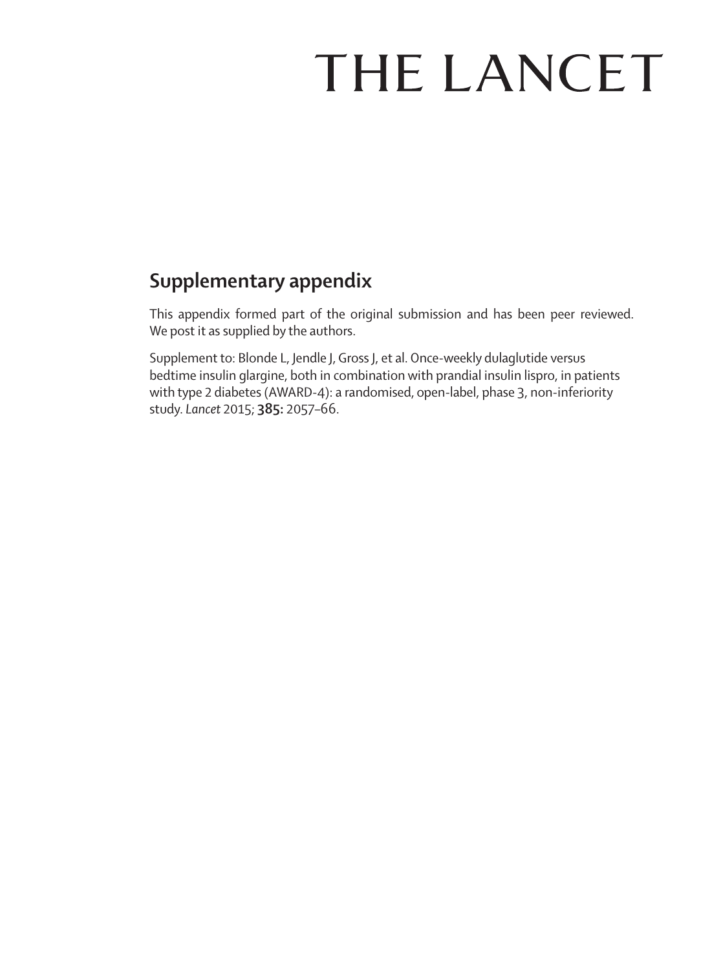# THE LANCET

# **Supplementary appendix**

This appendix formed part of the original submission and has been peer reviewed. We post it as supplied by the authors.

Supplement to: Blonde L, Jendle J, Gross J, et al. Once-weekly dulaglutide versus bedtime insulin glargine, both in combination with prandial insulin lispro, in patients with type 2 diabetes (AWARD-4): a randomised, open-label, phase 3, non-inferiority study. *Lancet* 2015; **385:** 2057–66.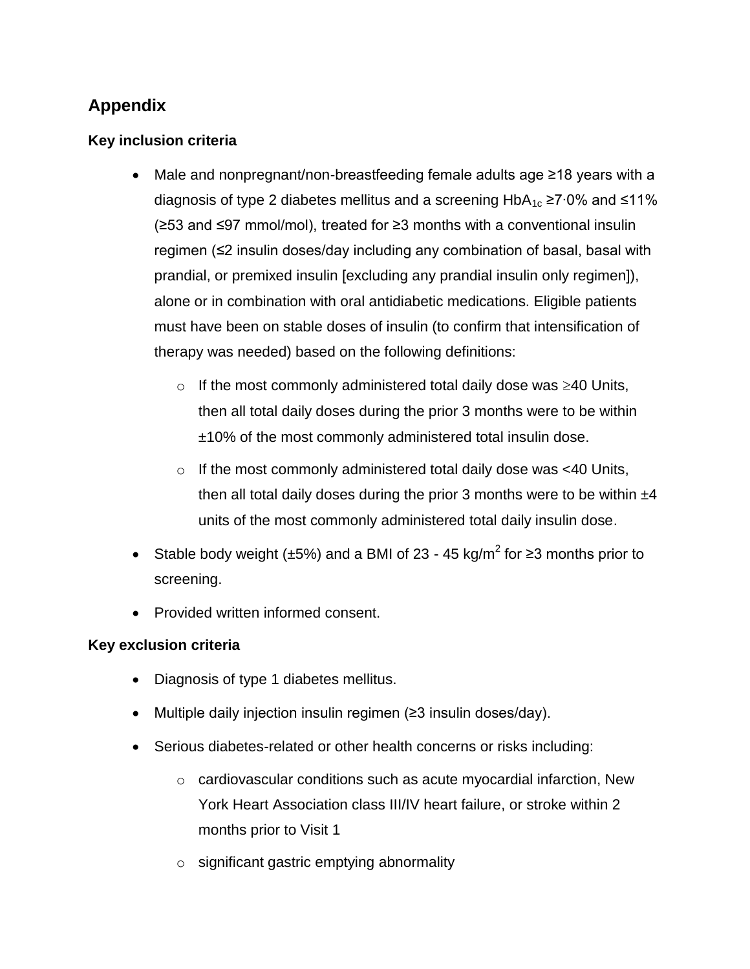## **Appendix**

## **Key inclusion criteria**

- Male and nonpregnant/non-breastfeeding female adults age ≥18 years with a diagnosis of type 2 diabetes mellitus and a screening HbA<sub>1c</sub> ≥7⋅0% and ≤11% (≥53 and ≤97 mmol/mol), treated for ≥3 months with a conventional insulin regimen (≤2 insulin doses/day including any combination of basal, basal with prandial, or premixed insulin [excluding any prandial insulin only regimen]), alone or in combination with oral antidiabetic medications. Eligible patients must have been on stable doses of insulin (to confirm that intensification of therapy was needed) based on the following definitions:
	- $\circ$  If the most commonly administered total daily dose was  $\geq 40$  Units, then all total daily doses during the prior 3 months were to be within ±10% of the most commonly administered total insulin dose.
	- o If the most commonly administered total daily dose was <40 Units, then all total daily doses during the prior 3 months were to be within  $\pm 4$ units of the most commonly administered total daily insulin dose.
- Stable body weight ( $\pm$ 5%) and a BMI of 23 45 kg/m<sup>2</sup> for ≥3 months prior to screening.
- Provided written informed consent.

## **Key exclusion criteria**

- Diagnosis of type 1 diabetes mellitus.
- Multiple daily injection insulin regimen (≥3 insulin doses/day).
- Serious diabetes-related or other health concerns or risks including:
	- o cardiovascular conditions such as acute myocardial infarction, New York Heart Association class III/IV heart failure, or stroke within 2 months prior to Visit 1
	- o significant gastric emptying abnormality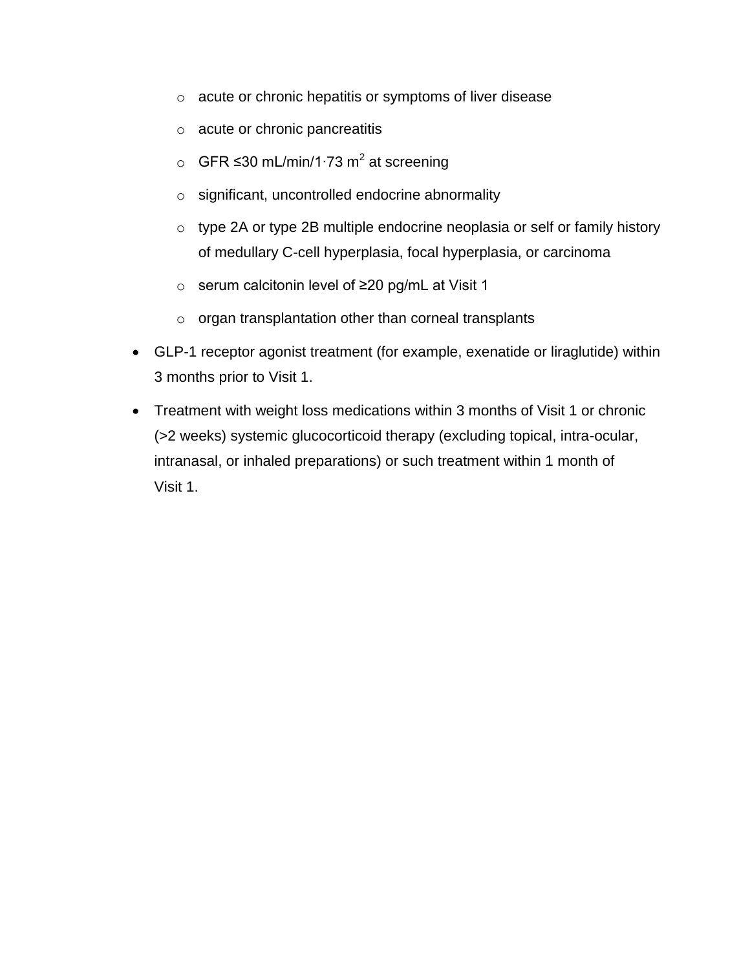- o acute or chronic hepatitis or symptoms of liver disease
- o acute or chronic pancreatitis
- o GFR ≤30 mL/min/1⋅73 m<sup>2</sup> at screening
- o significant, uncontrolled endocrine abnormality
- o type 2A or type 2B multiple endocrine neoplasia or self or family history of medullary C-cell hyperplasia, focal hyperplasia, or carcinoma
- o serum calcitonin level of ≥20 pg/mL at Visit 1
- o organ transplantation other than corneal transplants
- GLP-1 receptor agonist treatment (for example, exenatide or liraglutide) within 3 months prior to Visit 1.
- Treatment with weight loss medications within 3 months of Visit 1 or chronic (>2 weeks) systemic glucocorticoid therapy (excluding topical, intra-ocular, intranasal, or inhaled preparations) or such treatment within 1 month of Visit 1.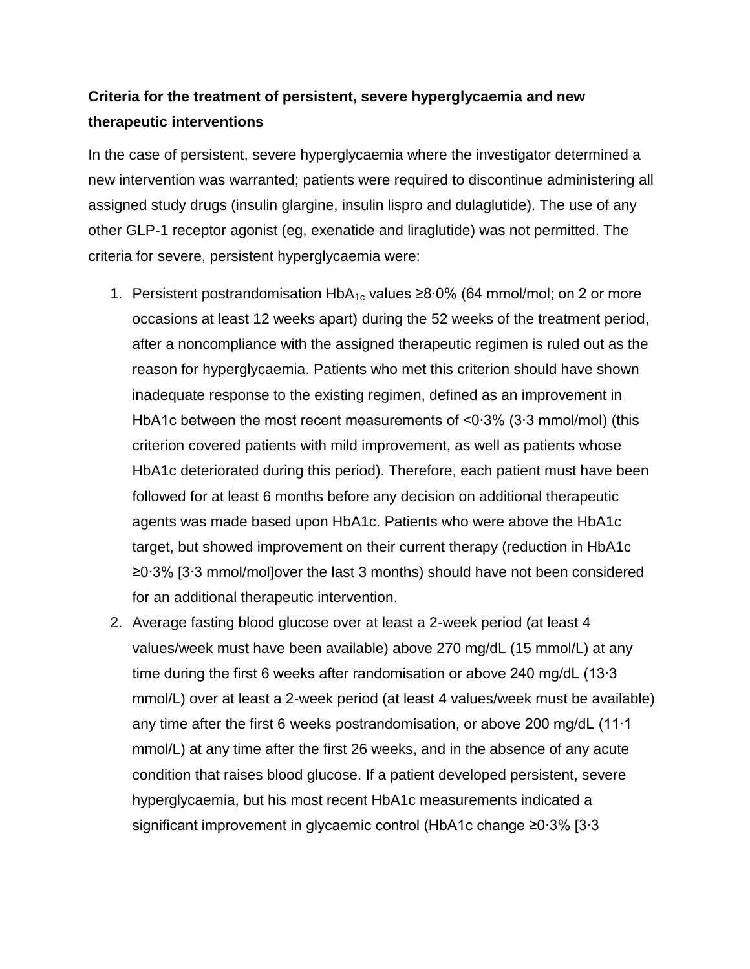## **Criteria for the treatment of persistent, severe hyperglycaemia and new therapeutic interventions**

In the case of persistent, severe hyperglycaemia where the investigator determined a new intervention was warranted; patients were required to discontinue administering all assigned study drugs (insulin glargine, insulin lispro and dulaglutide). The use of any other GLP-1 receptor agonist (eg, exenatide and liraglutide) was not permitted. The criteria for severe, persistent hyperglycaemia were:

- 1. Persistent postrandomisation HbA<sub>1c</sub> values ≥8⋅0% (64 mmol/mol; on 2 or more occasions at least 12 weeks apart) during the 52 weeks of the treatment period, after a noncompliance with the assigned therapeutic regimen is ruled out as the reason for hyperglycaemia. Patients who met this criterion should have shown inadequate response to the existing regimen, defined as an improvement in HbA1c between the most recent measurements of <0∙3% (3∙3 mmol/mol) (this criterion covered patients with mild improvement, as well as patients whose HbA1c deteriorated during this period). Therefore, each patient must have been followed for at least 6 months before any decision on additional therapeutic agents was made based upon HbA1c. Patients who were above the HbA1c target, but showed improvement on their current therapy (reduction in HbA1c ≥0∙3% [3∙3 mmol/mol]over the last 3 months) should have not been considered for an additional therapeutic intervention.
- 2. Average fasting blood glucose over at least a 2-week period (at least 4 values/week must have been available) above 270 mg/dL (15 mmol/L) at any time during the first 6 weeks after randomisation or above 240 mg/dL (13∙3 mmol/L) over at least a 2-week period (at least 4 values/week must be available) any time after the first 6 weeks postrandomisation, or above 200 mg/dL (11∙1 mmol/L) at any time after the first 26 weeks, and in the absence of any acute condition that raises blood glucose. If a patient developed persistent, severe hyperglycaemia, but his most recent HbA1c measurements indicated a significant improvement in glycaemic control (HbA1c change ≥0∙3% [3∙3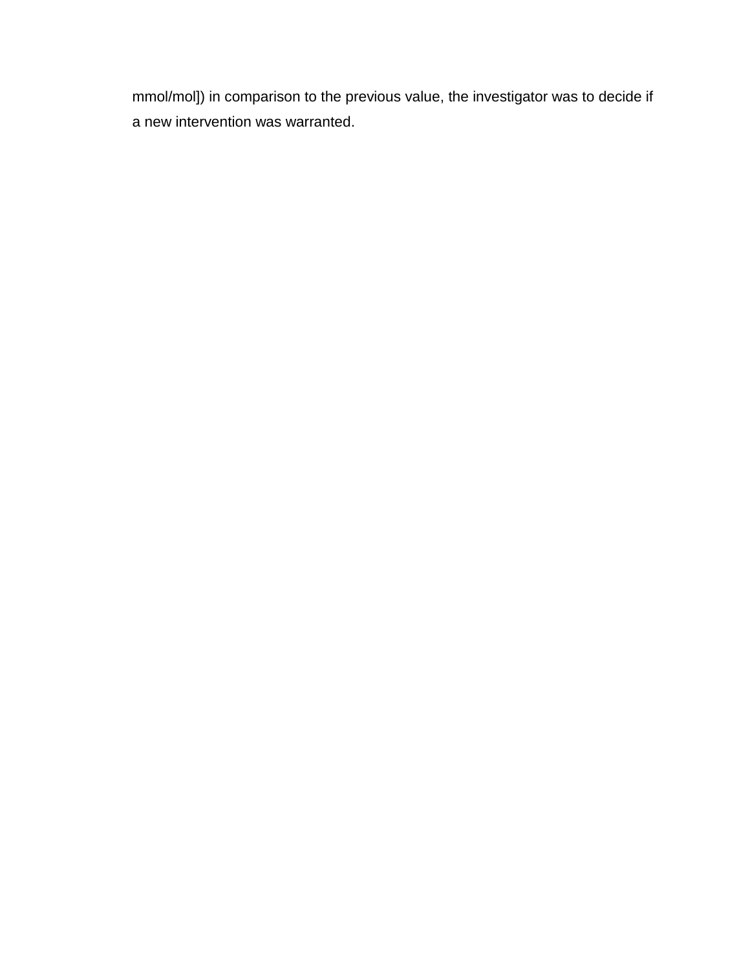mmol/mol]) in comparison to the previous value, the investigator was to decide if a new intervention was warranted.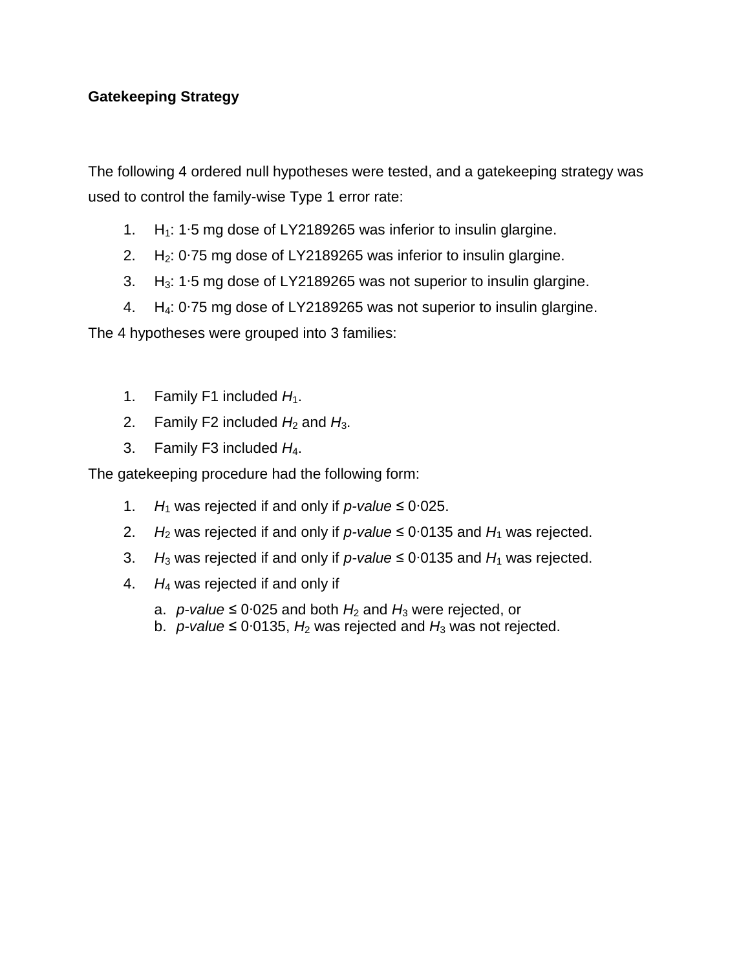## **Gatekeeping Strategy**

The following 4 ordered null hypotheses were tested, and a gatekeeping strategy was used to control the family-wise Type 1 error rate:

- 1. H<sub>1</sub>: 1⋅5 mg dose of LY2189265 was inferior to insulin glargine.
- 2. H2: 0∙75 mg dose of LY2189265 was inferior to insulin glargine.
- 3. H3: 1∙5 mg dose of LY2189265 was not superior to insulin glargine.
- 4. H4: 0∙75 mg dose of LY2189265 was not superior to insulin glargine.

The 4 hypotheses were grouped into 3 families:

- 1. Family F1 included  $H_1$ .
- 2. Family F2 included  $H_2$  and  $H_3$ .
- 3. Family F3 included *H*4.

The gatekeeping procedure had the following form:

- 1. *H*<sup>1</sup> was rejected if and only if *p-value* ≤ 0∙025.
- 2. *H*<sup>2</sup> was rejected if and only if *p-value* ≤ 0∙0135 and *H*<sup>1</sup> was rejected.
- 3. *H*<sup>3</sup> was rejected if and only if *p-value* ≤ 0∙0135 and *H*<sup>1</sup> was rejected.
- 4. *H*<sup>4</sup> was rejected if and only if
	- a. *p-value* ≤ 0⋅025 and both  $H_2$  and  $H_3$  were rejected, or
	- b. *p-value* ≤ 0∙0135, *H*<sup>2</sup> was rejected and *H*<sup>3</sup> was not rejected.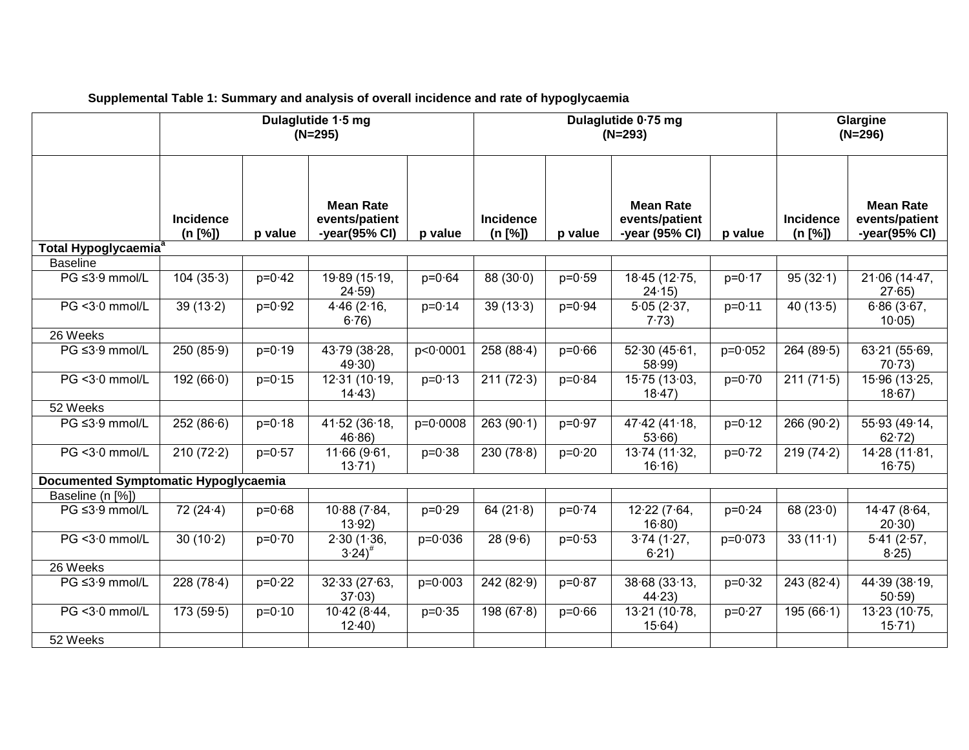|                                             | Dulaglutide 1.5 mg<br>$(N=295)$ |            |                                                     | Dulaglutide 0.75 mg<br>$(N=293)$ |                             |            |                                                      | Glargine<br>$(N=296)$ |                      |                                                     |
|---------------------------------------------|---------------------------------|------------|-----------------------------------------------------|----------------------------------|-----------------------------|------------|------------------------------------------------------|-----------------------|----------------------|-----------------------------------------------------|
|                                             | <b>Incidence</b><br>(n [%])     | p value    | <b>Mean Rate</b><br>events/patient<br>-year(95% CI) | p value                          | <b>Incidence</b><br>(n [%]) | p value    | <b>Mean Rate</b><br>events/patient<br>-year (95% CI) | p value               | Incidence<br>(n [%]) | <b>Mean Rate</b><br>events/patient<br>-year(95% CI) |
| Total Hypoglycaemia <sup>®</sup>            |                                 |            |                                                     |                                  |                             |            |                                                      |                       |                      |                                                     |
| <b>Baseline</b>                             |                                 |            |                                                     |                                  |                             |            |                                                      |                       |                      |                                                     |
| PG ≤3.9 mmol/L                              | 104(35.3)                       | $p=0.42$   | 19.89 (15.19,<br>24.59                              | $p = 0.64$                       | 88(30.0)                    | $p = 0.59$ | 18.45 (12.75,<br>24.15                               | $p = 0.17$            | 95(32.1)             | 21.06(14.47,<br>27.65                               |
| PG < 3.0 mmol/L                             | 39(13.2)                        | $p = 0.92$ | 4.46(2.16,<br>6.76                                  | $p = 0.14$                       | 39(13.3)                    | $p = 0.94$ | 5.05(2.37,<br>7.73)                                  | $p = 0.11$            | 40 $(13.5)$          | 6.86(3.67,<br>10.05                                 |
| 26 Weeks                                    |                                 |            |                                                     |                                  |                             |            |                                                      |                       |                      |                                                     |
| PG ≤3.9 mmol/L                              | 250(85.9)                       | $p = 0.19$ | 43.79 (38.28,<br>49.30                              | p<0.0001                         | 258(88.4)                   | $p = 0.66$ | 52.30(45.61,<br>58.99                                | $p = 0.052$           | 264(89.5)            | 63.21(55.69,<br>70.73                               |
| PG < 3.0 mmol/L                             | 192(66.0)                       | $p = 0.15$ | 12.31(10.19,<br>14.43                               | $p = 0.13$                       | 211(72.3)                   | $p = 0.84$ | 15.75 (13.03,<br>18.47                               | $p = 0.70$            | 211(71.5)            | 15.96 (13.25,<br>$18.67$ )                          |
| 52 Weeks                                    |                                 |            |                                                     |                                  |                             |            |                                                      |                       |                      |                                                     |
| PG ≤3.9 mmol/L                              | 252(86.6)                       | $p=0.18$   | 41.52(36.18,<br>46.86                               | $p=0.0008$                       | 263(90.1)                   | $p = 0.97$ | 47.42 (41.18,<br>53.66                               | $p = 0.12$            | 266(90.2)            | 55.93 (49.14,<br>62.72                              |
| PG < 3.0 mmol/L                             | 210(72.2)                       | $p = 0.57$ | 11.66(9.61,<br>13.71                                | $p = 0.38$                       | 230(78.8)                   | $p = 0.20$ | 13.74 (11.32,<br>16.16                               | $p = 0.72$            | 219(74.2)            | 14.28(11.81,<br>16.75                               |
| <b>Documented Symptomatic Hypoglycaemia</b> |                                 |            |                                                     |                                  |                             |            |                                                      |                       |                      |                                                     |
| Baseline (n [%])                            |                                 |            |                                                     |                                  |                             |            |                                                      |                       |                      |                                                     |
| PG ≤3.9 mmol/L                              | 72(24.4)                        | $p = 0.68$ | 10.88(7.84,<br>13.92                                | $p = 0.29$                       | 64 $(21.8)$                 | $p = 0.74$ | 12.22(7.64,<br>16.80                                 | $p = 0.24$            | 68 $(23.0)$          | 14.47 (8.64,<br>20.30                               |
| PG < 3.0 mmol/L                             | 30(10.2)                        | $p=0.70$   | 2.30(1.36,<br>$3.24$ <sup>#</sup>                   | $p = 0.036$                      | 28(9.6)                     | $p = 0.53$ | 3.74(1.27,<br>6.21)                                  | $p=0.073$             | 33(11.1)             | 5.41(2.57,<br>$8.25$ )                              |
| 26 Weeks                                    |                                 |            |                                                     |                                  |                             |            |                                                      |                       |                      |                                                     |
| PG ≤3.9 mmol/L                              | 228(78.4)                       | $p=0.22$   | 32.33(27.63,<br>37.03                               | $p = 0.003$                      | 242(82.9)                   | $p = 0.87$ | 38.68(33.13,<br>44.23                                | $p = 0.32$            | 243(82.4)            | 44.39(38.19,<br>$50.59$ )                           |
| PG < 3.0 mmol/L                             | 173(59.5)                       | $p = 0.10$ | 10.42(8.44,<br>12.40                                | $p = 0.35$                       | 198(67.8)                   | $p = 0.66$ | 13.21 (10.78,<br>15.64)                              | $p=0.27$              | 195(66.1)            | 13.23(10.75,<br>15.71)                              |
| 52 Weeks                                    |                                 |            |                                                     |                                  |                             |            |                                                      |                       |                      |                                                     |

**Supplemental Table 1: Summary and analysis of overall incidence and rate of hypoglycaemia**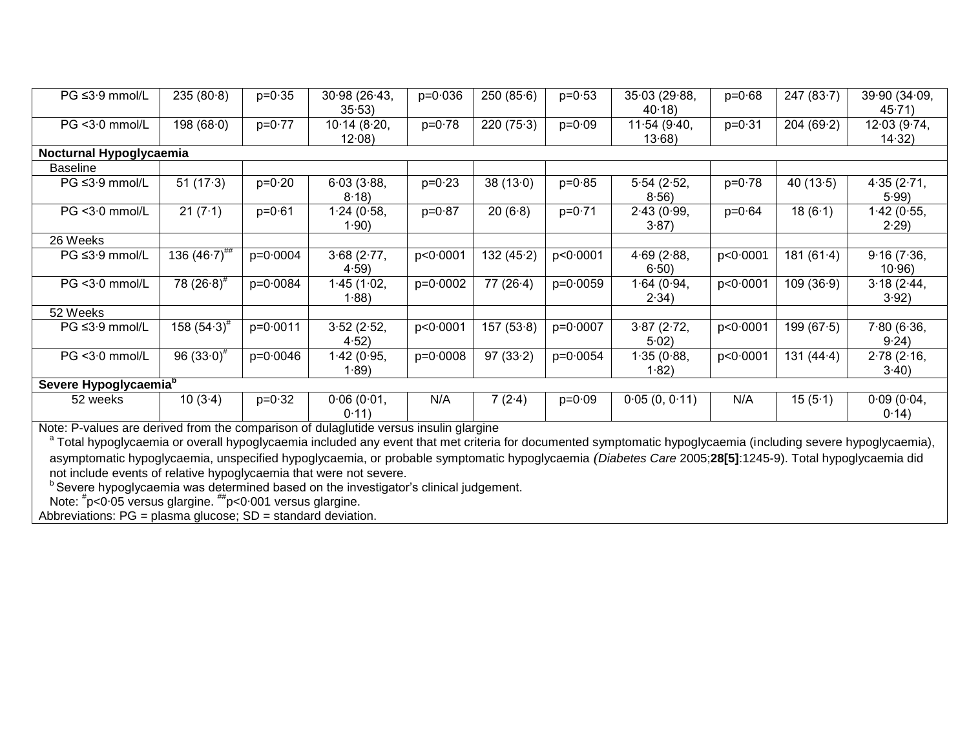| PG ≤3.9 mmol/L                    | 235(80.8)                                                                             | $p = 0.35$ | 30.98(26.43, | $p = 0.036$ | 250(85.6)    | $p = 0.53$ | 35.03 (29.88, | $p = 0.68$ | 247(83.7)    | 39.90(34.09, |
|-----------------------------------|---------------------------------------------------------------------------------------|------------|--------------|-------------|--------------|------------|---------------|------------|--------------|--------------|
|                                   |                                                                                       |            | 35.53        |             |              |            | 40.18         |            |              | 45.71)       |
| $PG < 3.0$ mmol/L                 | 198(68.0)                                                                             | $p=0.77$   | 10.14(8.20,  | $p = 0.78$  | 220(75.3)    | $p = 0.09$ | 11.54(9.40,   | $p = 0.31$ | 204(69.2)    | 12.03(9.74,  |
|                                   |                                                                                       |            | 12.08        |             |              |            | 13.68         |            |              | 14.32)       |
| Nocturnal Hypoglycaemia           |                                                                                       |            |              |             |              |            |               |            |              |              |
| <b>Baseline</b>                   |                                                                                       |            |              |             |              |            |               |            |              |              |
| $PG \leq 3.9$ mmol/L              | 51 $(17.3)$                                                                           | $p=0.20$   | 6.03(3.88,   | $p = 0.23$  | 38(13.0)     | $p = 0.85$ | 5.54(2.52,    | $p = 0.78$ | 40 $(13.5)$  | 4.35(2.71,   |
|                                   |                                                                                       |            | 8.18         |             |              |            | 8.56          |            |              | 5.99         |
| $PG < 3.0$ mmol/L                 | 21(7.1)                                                                               | $p = 0.61$ | 1.24(0.58,   | $p = 0.87$  | 20(6.8)      | $p = 0.71$ | 2.43(0.99,    | $p = 0.64$ | 18(6.1)      | 1·42 (0·55,  |
|                                   |                                                                                       |            | 1.90)        |             |              |            | 3.87)         |            |              | 2.29         |
| 26 Weeks                          |                                                                                       |            |              |             |              |            |               |            |              |              |
| PG ≤3.9 mmol/L                    | 136 $(46.7)$ ##                                                                       | $p=0.0004$ | 3.68(2.77,   | p < 0.0001  | 132 $(45.2)$ | p < 0.0001 | 4.69(2.88,    | p < 0.0001 | 181(61.4)    | 9.16(7.36,   |
|                                   |                                                                                       |            | 4.59         |             |              |            | 6.50)         |            |              | 10.96        |
| $PG < 3.0$ mmol/L                 | 78 $(26.8)^{#}$                                                                       | $p=0.0084$ | 1.45(1.02,   | $p=0.0002$  | 77(26.4)     | $p=0.0059$ | 1.64(0.94,    | p < 0.0001 | 109(36.9)    | 3.18(2.44,   |
|                                   |                                                                                       |            | 1.88)        |             |              |            | 2.34)         |            |              | 3.92)        |
| 52 Weeks                          |                                                                                       |            |              |             |              |            |               |            |              |              |
| $PG \leq 3.9$ mmol/L              | 158 $(54.3)^{\#}$                                                                     | $p=0.0011$ | 3.52(2.52,   | p < 0.0001  | 157(53.8)    | $p=0.0007$ | 3.87(2.72,    | p < 0.0001 | 199(67.5)    | 7.80(6.36,   |
|                                   |                                                                                       |            | 4.52)        |             |              |            | 5.02          |            |              | 9.24)        |
| PG <3.0 mmol/L                    | 96 $(33.0)^{4}$                                                                       | $p=0.0046$ | 1.42(0.95,   | $p=0.0008$  | 97(33.2)     | $p=0.0054$ | 1.35(0.88,    | p < 0.0001 | 131 $(44.4)$ | 2.78(2.16,   |
|                                   |                                                                                       |            | 1.89         |             |              |            | 1.82)         |            |              | 3.40         |
| Severe Hypoglycaemia <sup>b</sup> |                                                                                       |            |              |             |              |            |               |            |              |              |
| 52 weeks                          | 10(3.4)                                                                               | $p = 0.32$ | 0.06(0.01,   | N/A         | 7(2.4)       | $p = 0.09$ | 0.05(0, 0.11) | N/A        | 15(5.1)      | 0.09(0.04,   |
|                                   |                                                                                       |            | 0.11         |             |              |            |               |            |              | 0.14)        |
|                                   | Note: P-values are derived from the comparison of dulaglutide versus insulin glargine |            |              |             |              |            |               |            |              |              |

Note: P-values are derived from the comparison of dulaglutide versus insulin glargine<br><sup>a</sup> Total hypoglycaemia or overall hypoglycaemia included any event that met criteria for documented symptomatic hypoglycaemia (includin asymptomatic hypoglycaemia, unspecified hypoglycaemia, or probable symptomatic hypoglycaemia *(Diabetes Care* 2005;**28[5]**:1245-9). Total hypoglycaemia did not include events of relative hypoglycaemia that were not severe.

 $<sup>b</sup>$  Severe hypoglycaemia was determined based on the investigator's clinical judgement.</sup>

Note: # p<0∙05 versus glargine. ##p<0∙001 versus glargine.

Abbreviations: PG = plasma glucose; SD = standard deviation.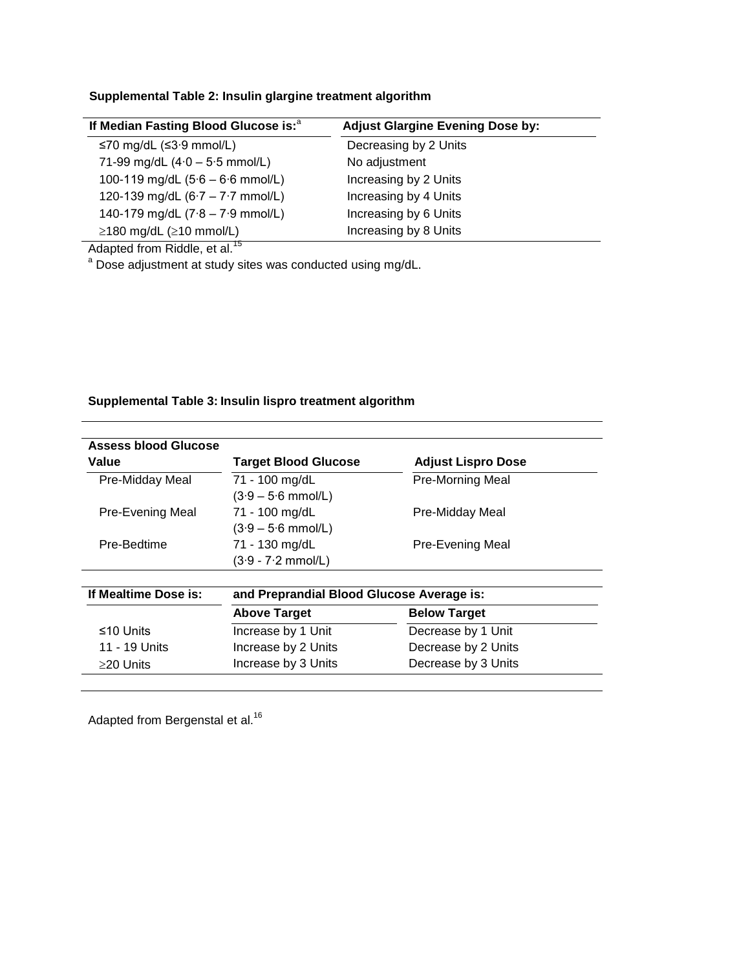## **Supplemental Table 2: Insulin glargine treatment algorithm**

| If Median Fasting Blood Glucose is: <sup>a</sup> | <b>Adjust Glargine Evening Dose by:</b> |
|--------------------------------------------------|-----------------------------------------|
| ≤70 mg/dL (≤3 $\cdot$ 9 mmol/L)                  | Decreasing by 2 Units                   |
| 71-99 mg/dL $(4.0 - 5.5$ mmol/L)                 | No adjustment                           |
| 100-119 mg/dL $(5.6 - 6.6$ mmol/L)               | Increasing by 2 Units                   |
| 120-139 mg/dL $(6.7 - 7.7$ mmol/L)               | Increasing by 4 Units                   |
| 140-179 mg/dL $(7.8 - 7.9$ mmol/L)               | Increasing by 6 Units                   |
| $\geq$ 180 mg/dL ( $\geq$ 10 mmol/L)             | Increasing by 8 Units                   |

Adapted from Riddle, et al.<sup>15</sup>

<sup>a</sup> Dose adjustment at study sites was conducted using mg/dL.

## **Supplemental Table 3: Insulin lispro treatment algorithm**

| Assess blood Glucose |                                           |                           |
|----------------------|-------------------------------------------|---------------------------|
| Value                | <b>Target Blood Glucose</b>               | <b>Adjust Lispro Dose</b> |
| Pre-Midday Meal      | 71 - 100 mg/dL                            | <b>Pre-Morning Meal</b>   |
|                      | $(3.9 - 5.6$ mmol/L)                      |                           |
| Pre-Evening Meal     | 71 - 100 mg/dL                            | Pre-Midday Meal           |
|                      | $(3.9 - 5.6$ mmol/L)                      |                           |
| Pre-Bedtime          | 71 - 130 mg/dL                            | Pre-Evening Meal          |
|                      | $(3.9 - 7.2$ mmol/L)                      |                           |
| If Mealtime Dose is: | and Preprandial Blood Glucose Average is: |                           |
|                      | <b>Above Target</b>                       | <b>Below Target</b>       |
| ≤10 Units            | Increase by 1 Unit                        | Decrease by 1 Unit        |
| 11 - 19 Units        | Increase by 2 Units                       | Decrease by 2 Units       |
|                      | Increase by 3 Units                       | Decrease by 3 Units       |

Adapted from Bergenstal et al.<sup>16</sup>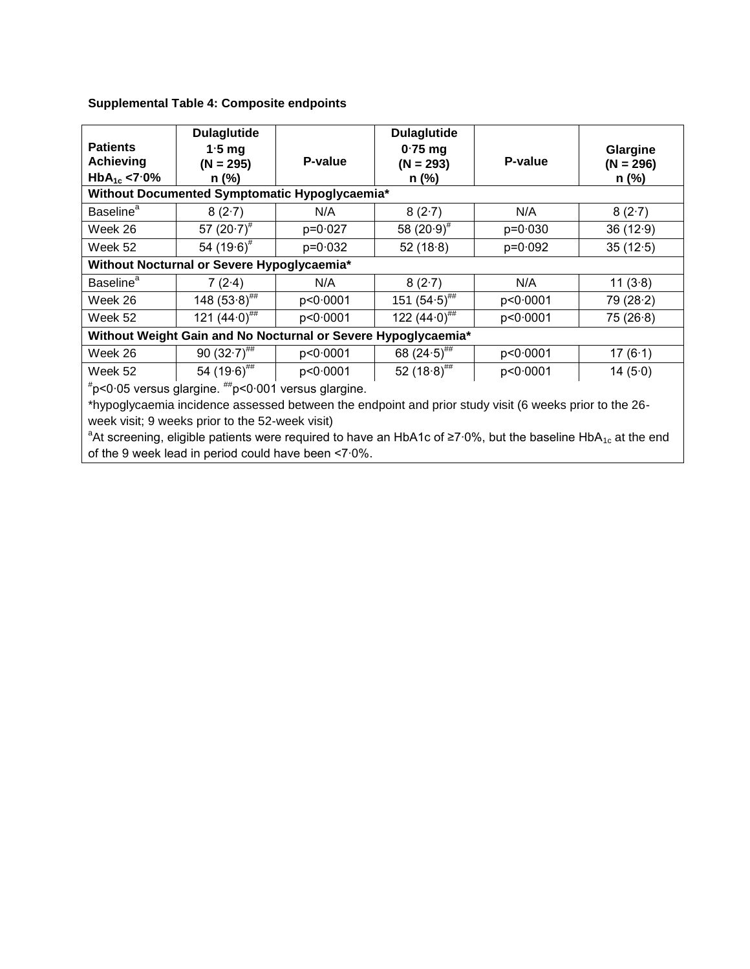| <b>Patients</b><br><b>Achieving</b><br>$HbA_{1c}$ <7.0%                                                | <b>Dulaglutide</b><br>$1.5$ mg<br>$(N = 295)$<br>$n$ (%) | P-value    | <b>Dulaglutide</b><br>$0.75$ mg<br>$(N = 293)$<br>$n$ (%) | P-value     | Glargine<br>$(N = 296)$<br>$n$ (%) |  |  |
|--------------------------------------------------------------------------------------------------------|----------------------------------------------------------|------------|-----------------------------------------------------------|-------------|------------------------------------|--|--|
|                                                                                                        | Without Documented Symptomatic Hypoglycaemia*            |            |                                                           |             |                                    |  |  |
| <b>Baseline</b> <sup>a</sup>                                                                           | 8(2.7)                                                   | N/A        | 8(2.7)                                                    | N/A         | 8(2.7)                             |  |  |
| Week 26                                                                                                | 57 $(20.7)^{\#}$                                         | $p=0.027$  | 58 $(20.9)^{\#}$                                          | $p = 0.030$ | 36(12.9)                           |  |  |
| Week 52                                                                                                | 54 $(19.6)^{\#}$                                         | $p=0.032$  | 52(18.8)                                                  | $p=0.092$   | 35(12.5)                           |  |  |
| Without Nocturnal or Severe Hypoglycaemia*                                                             |                                                          |            |                                                           |             |                                    |  |  |
| <b>Baseline</b> <sup>a</sup>                                                                           | 7(2.4)                                                   | N/A        | 8(2.7)                                                    | N/A         | 11(3.8)                            |  |  |
| Week 26                                                                                                | 148 $(53.8)^{***}$                                       | p < 0.0001 | 151 $(54.5)$ <sup>##</sup>                                | p<0.0001    | 79(28.2)                           |  |  |
| Week 52                                                                                                | 121 $(44.0)^{#}$                                         | p<0.0001   | 122 $(44.0)^{#}$                                          | p<0.0001    | 75(26.8)                           |  |  |
| Without Weight Gain and No Nocturnal or Severe Hypoglycaemia*                                          |                                                          |            |                                                           |             |                                    |  |  |
| Week 26                                                                                                | 90 $(32.7)^{***}$                                        | p<0.0001   | 68 $(24.5)$ <sup>##</sup>                                 | p<0.0001    | 17(6.1)                            |  |  |
| Week 52                                                                                                | 54 $(19.6)$ <sup>##</sup>                                | p < 0.0001 | 52 $(18.8)^{#}$                                           | p<0.0001    | 14 $(5.0)$                         |  |  |
| $*$ p<0.05 versus glargine. $^{**}$ p<0.001 versus glargine.                                           |                                                          |            |                                                           |             |                                    |  |  |
| *hypoglycaemia incidence assessed between the endpoint and prior study visit (6 weeks prior to the 26- |                                                          |            |                                                           |             |                                    |  |  |

## **Supplemental Table 4: Composite endpoints**

week visit; 9 weeks prior to the 52-week visit) <sup>a</sup>At screening, eligible patients were required to have an HbA1c of ≥7∙0%, but the baseline HbA<sub>1c</sub> at the end of the 9 week lead in period could have been <7∙0%.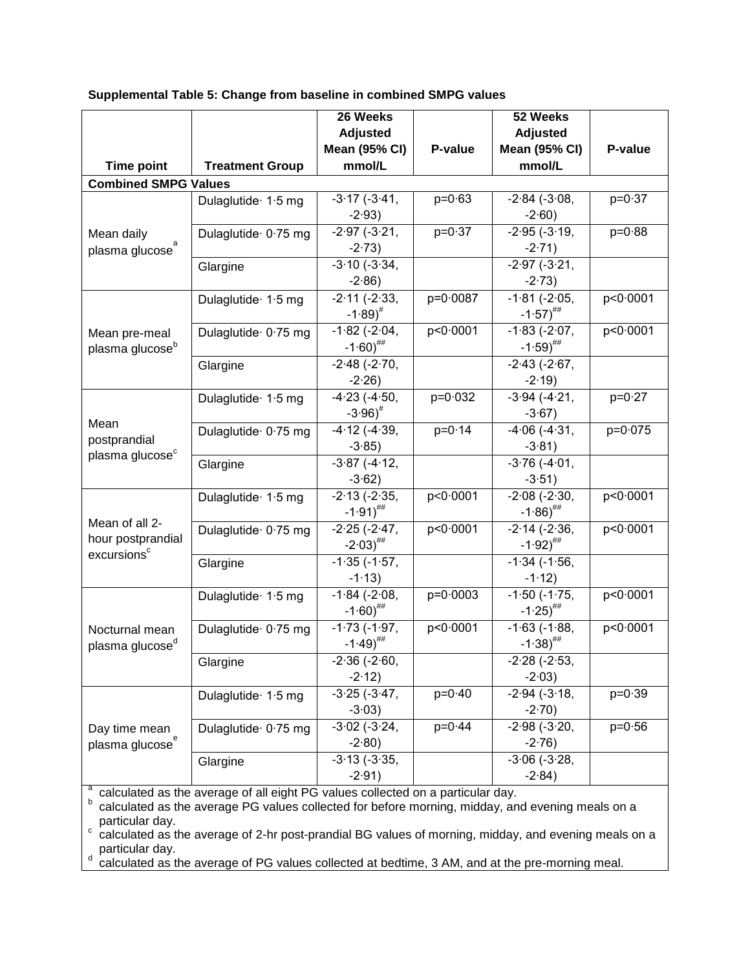| <b>Mean (95% CI)</b><br><b>Mean (95% CI)</b><br>P-value<br>P-value<br>mmol/L<br><b>Time point</b><br><b>Treatment Group</b><br>mmol/L<br><b>Combined SMPG Values</b><br>$-3.17(-3.41,$<br>$p = 0.63$<br>$-2.84$ ( $-3.08$ ,<br>$p = 0.37$<br>Dulaglutide 1.5 mg<br>$-2.93$<br>$-2.60$ )<br>$p = 0.37$<br>$-2.95$ ( $-3.19$ )<br>$-2.97$ ( $-3.21$ ,<br>$p = 0.88$<br>Dulaglutide 0.75 mg<br>Mean daily<br>$-2.73$<br>$-2.71$ )<br>plasma glucose<br>$-3.10(-3.34,$<br>$-2.97$ ( $-3.21$ ,<br>Glargine<br>$-2.86$<br>$-2.73$<br>$-2.11 (-2.33,$<br>p=0.0087<br>$-1.81$ ( $-2.05$ ,<br>p<0.0001<br>Dulaglutide 1.5 mg<br>$-1.89$ <sup>#</sup><br>$-1.57$ <sup>##</sup><br>$-1.82$ ( $-2.04$ ,<br>p<0.0001<br>$-1.83$ ( $-2.07$ ,<br>p<0.0001<br>Dulaglutide 0.75 mg<br>Mean pre-meal<br>$-1.60$ ) <sup>##</sup><br>$-1.59$ <sup>##</sup><br>plasma glucose <sup>b</sup><br>$-2.48$ ( $-2.70$ )<br>$-2.43$ ( $-2.67$ ,<br>Glargine<br>$-2.26$<br>$-2.19$<br>$-4.23$ $(-4.50,$<br>$p = 0.032$<br>$-3.94$ ( $-4.21$ ,<br>$p = 0.27$<br>Dulaglutide 1.5 mg<br>$-3.96$ <sup>#</sup><br>$-3.67$ )<br>Mean<br>$-4.12$ ( $-4.39$ )<br>$p = 0.14$<br>$-4.06$ ( $-4.31$ )<br>$p = 0.075$<br>Dulaglutide 0.75 mg<br>postprandial<br>$-3.85$ )<br>$-3.81$ )<br>plasma glucose <sup>c</sup><br>$-3.87$ ( $-4.12$ ,<br>$-3.76$ ( $-4.01$ ,<br>Glargine<br>$-3.62$ )<br>$-3.51$ )<br>$-2.08$ ( $-2.30$ ,<br>$-2.13$ ( $-2.35$ ,<br>p<0.0001<br>p<0.0001<br>Dulaglutide 1.5 mg<br>$-1.91)$ <sup>##</sup><br>$-1.86$ <sup>##</sup><br>Mean of all 2-<br>$-2.25(-2.47)$<br>$-2.14 (-2.36,$<br>p<0.0001<br>p<0.0001<br>Dulaglutide 0.75 mg<br>hour postprandial<br>$-1.92$ <sup>##</sup><br>$-2.03$ <sup>##</sup><br>excursions <sup>c</sup><br>$-1.35$ ( $-1.57$ ,<br>$-1.34$ ( $-1.56$ )<br>Glargine<br>$-1.13$<br>$-1.12$<br>$-1.84$ ( $-2.08$ ,<br>$p=0.0003$<br>$-1.50$ ( $-1.75$ ,<br>p<0.0001<br>Dulaglutide 1.5 mg<br>$-1.60$ <sup>##</sup><br>$-1.25$ <sup>##</sup><br>p < 0.0001<br>$-1.73$ ( $-1.97$ ,<br>$-1.63$ ( $-1.88$ )<br>p<0.0001<br>Dulaglutide 0.75 mg<br>Nocturnal mean<br>$-1.49$ <sup>##</sup><br>$-1.38$ <sup>##</sup><br>plasma glucose <sup>d</sup><br>$-2.36$ ( $-2.60$ ,<br>$-2.28$ ( $-2.53$ ,<br>Glargine<br>$-2.12$ )<br>$-2.03$ )<br>$-3.25$ ( $-3.47$ ,<br>$p=0.40$<br>$-2.94$ ( $-3.18$ )<br>$p = 0.39$<br>Dulaglutide 1.5 mg<br>$-3.03$ )<br>$-2.70$<br>$-3.02$ ( $-3.24$ ,<br>$-2.98(-3.20,$<br>$p = 0.44$<br>$p = 0.56$<br>Dulaglutide 0.75 mg<br>Day time mean<br>$-2.80$<br>$-2.76$<br>plasma glucose<br>$-3.13$ ( $-3.35$ ,<br>$-3.06$ ( $-3.28$ ,<br>Glargine<br>$-2.91$<br>$-2.84$ |  | 26 Weeks<br><b>Adjusted</b> | 52 Weeks<br>Adjusted |  |
|----------------------------------------------------------------------------------------------------------------------------------------------------------------------------------------------------------------------------------------------------------------------------------------------------------------------------------------------------------------------------------------------------------------------------------------------------------------------------------------------------------------------------------------------------------------------------------------------------------------------------------------------------------------------------------------------------------------------------------------------------------------------------------------------------------------------------------------------------------------------------------------------------------------------------------------------------------------------------------------------------------------------------------------------------------------------------------------------------------------------------------------------------------------------------------------------------------------------------------------------------------------------------------------------------------------------------------------------------------------------------------------------------------------------------------------------------------------------------------------------------------------------------------------------------------------------------------------------------------------------------------------------------------------------------------------------------------------------------------------------------------------------------------------------------------------------------------------------------------------------------------------------------------------------------------------------------------------------------------------------------------------------------------------------------------------------------------------------------------------------------------------------------------------------------------------------------------------------------------------------------------------------------------------------------------------------------------------------------------------------------------------------------------------------------------------------------------------------------------------------------------------------------------------------------------------------------------------------------------|--|-----------------------------|----------------------|--|
|                                                                                                                                                                                                                                                                                                                                                                                                                                                                                                                                                                                                                                                                                                                                                                                                                                                                                                                                                                                                                                                                                                                                                                                                                                                                                                                                                                                                                                                                                                                                                                                                                                                                                                                                                                                                                                                                                                                                                                                                                                                                                                                                                                                                                                                                                                                                                                                                                                                                                                                                                                                                          |  |                             |                      |  |
|                                                                                                                                                                                                                                                                                                                                                                                                                                                                                                                                                                                                                                                                                                                                                                                                                                                                                                                                                                                                                                                                                                                                                                                                                                                                                                                                                                                                                                                                                                                                                                                                                                                                                                                                                                                                                                                                                                                                                                                                                                                                                                                                                                                                                                                                                                                                                                                                                                                                                                                                                                                                          |  |                             |                      |  |
|                                                                                                                                                                                                                                                                                                                                                                                                                                                                                                                                                                                                                                                                                                                                                                                                                                                                                                                                                                                                                                                                                                                                                                                                                                                                                                                                                                                                                                                                                                                                                                                                                                                                                                                                                                                                                                                                                                                                                                                                                                                                                                                                                                                                                                                                                                                                                                                                                                                                                                                                                                                                          |  |                             |                      |  |
|                                                                                                                                                                                                                                                                                                                                                                                                                                                                                                                                                                                                                                                                                                                                                                                                                                                                                                                                                                                                                                                                                                                                                                                                                                                                                                                                                                                                                                                                                                                                                                                                                                                                                                                                                                                                                                                                                                                                                                                                                                                                                                                                                                                                                                                                                                                                                                                                                                                                                                                                                                                                          |  |                             |                      |  |
|                                                                                                                                                                                                                                                                                                                                                                                                                                                                                                                                                                                                                                                                                                                                                                                                                                                                                                                                                                                                                                                                                                                                                                                                                                                                                                                                                                                                                                                                                                                                                                                                                                                                                                                                                                                                                                                                                                                                                                                                                                                                                                                                                                                                                                                                                                                                                                                                                                                                                                                                                                                                          |  |                             |                      |  |
|                                                                                                                                                                                                                                                                                                                                                                                                                                                                                                                                                                                                                                                                                                                                                                                                                                                                                                                                                                                                                                                                                                                                                                                                                                                                                                                                                                                                                                                                                                                                                                                                                                                                                                                                                                                                                                                                                                                                                                                                                                                                                                                                                                                                                                                                                                                                                                                                                                                                                                                                                                                                          |  |                             |                      |  |
|                                                                                                                                                                                                                                                                                                                                                                                                                                                                                                                                                                                                                                                                                                                                                                                                                                                                                                                                                                                                                                                                                                                                                                                                                                                                                                                                                                                                                                                                                                                                                                                                                                                                                                                                                                                                                                                                                                                                                                                                                                                                                                                                                                                                                                                                                                                                                                                                                                                                                                                                                                                                          |  |                             |                      |  |
|                                                                                                                                                                                                                                                                                                                                                                                                                                                                                                                                                                                                                                                                                                                                                                                                                                                                                                                                                                                                                                                                                                                                                                                                                                                                                                                                                                                                                                                                                                                                                                                                                                                                                                                                                                                                                                                                                                                                                                                                                                                                                                                                                                                                                                                                                                                                                                                                                                                                                                                                                                                                          |  |                             |                      |  |
|                                                                                                                                                                                                                                                                                                                                                                                                                                                                                                                                                                                                                                                                                                                                                                                                                                                                                                                                                                                                                                                                                                                                                                                                                                                                                                                                                                                                                                                                                                                                                                                                                                                                                                                                                                                                                                                                                                                                                                                                                                                                                                                                                                                                                                                                                                                                                                                                                                                                                                                                                                                                          |  |                             |                      |  |
|                                                                                                                                                                                                                                                                                                                                                                                                                                                                                                                                                                                                                                                                                                                                                                                                                                                                                                                                                                                                                                                                                                                                                                                                                                                                                                                                                                                                                                                                                                                                                                                                                                                                                                                                                                                                                                                                                                                                                                                                                                                                                                                                                                                                                                                                                                                                                                                                                                                                                                                                                                                                          |  |                             |                      |  |
|                                                                                                                                                                                                                                                                                                                                                                                                                                                                                                                                                                                                                                                                                                                                                                                                                                                                                                                                                                                                                                                                                                                                                                                                                                                                                                                                                                                                                                                                                                                                                                                                                                                                                                                                                                                                                                                                                                                                                                                                                                                                                                                                                                                                                                                                                                                                                                                                                                                                                                                                                                                                          |  |                             |                      |  |
|                                                                                                                                                                                                                                                                                                                                                                                                                                                                                                                                                                                                                                                                                                                                                                                                                                                                                                                                                                                                                                                                                                                                                                                                                                                                                                                                                                                                                                                                                                                                                                                                                                                                                                                                                                                                                                                                                                                                                                                                                                                                                                                                                                                                                                                                                                                                                                                                                                                                                                                                                                                                          |  |                             |                      |  |
|                                                                                                                                                                                                                                                                                                                                                                                                                                                                                                                                                                                                                                                                                                                                                                                                                                                                                                                                                                                                                                                                                                                                                                                                                                                                                                                                                                                                                                                                                                                                                                                                                                                                                                                                                                                                                                                                                                                                                                                                                                                                                                                                                                                                                                                                                                                                                                                                                                                                                                                                                                                                          |  |                             |                      |  |
|                                                                                                                                                                                                                                                                                                                                                                                                                                                                                                                                                                                                                                                                                                                                                                                                                                                                                                                                                                                                                                                                                                                                                                                                                                                                                                                                                                                                                                                                                                                                                                                                                                                                                                                                                                                                                                                                                                                                                                                                                                                                                                                                                                                                                                                                                                                                                                                                                                                                                                                                                                                                          |  |                             |                      |  |
|                                                                                                                                                                                                                                                                                                                                                                                                                                                                                                                                                                                                                                                                                                                                                                                                                                                                                                                                                                                                                                                                                                                                                                                                                                                                                                                                                                                                                                                                                                                                                                                                                                                                                                                                                                                                                                                                                                                                                                                                                                                                                                                                                                                                                                                                                                                                                                                                                                                                                                                                                                                                          |  |                             |                      |  |
|                                                                                                                                                                                                                                                                                                                                                                                                                                                                                                                                                                                                                                                                                                                                                                                                                                                                                                                                                                                                                                                                                                                                                                                                                                                                                                                                                                                                                                                                                                                                                                                                                                                                                                                                                                                                                                                                                                                                                                                                                                                                                                                                                                                                                                                                                                                                                                                                                                                                                                                                                                                                          |  |                             |                      |  |
|                                                                                                                                                                                                                                                                                                                                                                                                                                                                                                                                                                                                                                                                                                                                                                                                                                                                                                                                                                                                                                                                                                                                                                                                                                                                                                                                                                                                                                                                                                                                                                                                                                                                                                                                                                                                                                                                                                                                                                                                                                                                                                                                                                                                                                                                                                                                                                                                                                                                                                                                                                                                          |  |                             |                      |  |
|                                                                                                                                                                                                                                                                                                                                                                                                                                                                                                                                                                                                                                                                                                                                                                                                                                                                                                                                                                                                                                                                                                                                                                                                                                                                                                                                                                                                                                                                                                                                                                                                                                                                                                                                                                                                                                                                                                                                                                                                                                                                                                                                                                                                                                                                                                                                                                                                                                                                                                                                                                                                          |  |                             |                      |  |
|                                                                                                                                                                                                                                                                                                                                                                                                                                                                                                                                                                                                                                                                                                                                                                                                                                                                                                                                                                                                                                                                                                                                                                                                                                                                                                                                                                                                                                                                                                                                                                                                                                                                                                                                                                                                                                                                                                                                                                                                                                                                                                                                                                                                                                                                                                                                                                                                                                                                                                                                                                                                          |  |                             |                      |  |
|                                                                                                                                                                                                                                                                                                                                                                                                                                                                                                                                                                                                                                                                                                                                                                                                                                                                                                                                                                                                                                                                                                                                                                                                                                                                                                                                                                                                                                                                                                                                                                                                                                                                                                                                                                                                                                                                                                                                                                                                                                                                                                                                                                                                                                                                                                                                                                                                                                                                                                                                                                                                          |  |                             |                      |  |
|                                                                                                                                                                                                                                                                                                                                                                                                                                                                                                                                                                                                                                                                                                                                                                                                                                                                                                                                                                                                                                                                                                                                                                                                                                                                                                                                                                                                                                                                                                                                                                                                                                                                                                                                                                                                                                                                                                                                                                                                                                                                                                                                                                                                                                                                                                                                                                                                                                                                                                                                                                                                          |  |                             |                      |  |
|                                                                                                                                                                                                                                                                                                                                                                                                                                                                                                                                                                                                                                                                                                                                                                                                                                                                                                                                                                                                                                                                                                                                                                                                                                                                                                                                                                                                                                                                                                                                                                                                                                                                                                                                                                                                                                                                                                                                                                                                                                                                                                                                                                                                                                                                                                                                                                                                                                                                                                                                                                                                          |  |                             |                      |  |
|                                                                                                                                                                                                                                                                                                                                                                                                                                                                                                                                                                                                                                                                                                                                                                                                                                                                                                                                                                                                                                                                                                                                                                                                                                                                                                                                                                                                                                                                                                                                                                                                                                                                                                                                                                                                                                                                                                                                                                                                                                                                                                                                                                                                                                                                                                                                                                                                                                                                                                                                                                                                          |  |                             |                      |  |
|                                                                                                                                                                                                                                                                                                                                                                                                                                                                                                                                                                                                                                                                                                                                                                                                                                                                                                                                                                                                                                                                                                                                                                                                                                                                                                                                                                                                                                                                                                                                                                                                                                                                                                                                                                                                                                                                                                                                                                                                                                                                                                                                                                                                                                                                                                                                                                                                                                                                                                                                                                                                          |  |                             |                      |  |
|                                                                                                                                                                                                                                                                                                                                                                                                                                                                                                                                                                                                                                                                                                                                                                                                                                                                                                                                                                                                                                                                                                                                                                                                                                                                                                                                                                                                                                                                                                                                                                                                                                                                                                                                                                                                                                                                                                                                                                                                                                                                                                                                                                                                                                                                                                                                                                                                                                                                                                                                                                                                          |  |                             |                      |  |
|                                                                                                                                                                                                                                                                                                                                                                                                                                                                                                                                                                                                                                                                                                                                                                                                                                                                                                                                                                                                                                                                                                                                                                                                                                                                                                                                                                                                                                                                                                                                                                                                                                                                                                                                                                                                                                                                                                                                                                                                                                                                                                                                                                                                                                                                                                                                                                                                                                                                                                                                                                                                          |  |                             |                      |  |
|                                                                                                                                                                                                                                                                                                                                                                                                                                                                                                                                                                                                                                                                                                                                                                                                                                                                                                                                                                                                                                                                                                                                                                                                                                                                                                                                                                                                                                                                                                                                                                                                                                                                                                                                                                                                                                                                                                                                                                                                                                                                                                                                                                                                                                                                                                                                                                                                                                                                                                                                                                                                          |  |                             |                      |  |
|                                                                                                                                                                                                                                                                                                                                                                                                                                                                                                                                                                                                                                                                                                                                                                                                                                                                                                                                                                                                                                                                                                                                                                                                                                                                                                                                                                                                                                                                                                                                                                                                                                                                                                                                                                                                                                                                                                                                                                                                                                                                                                                                                                                                                                                                                                                                                                                                                                                                                                                                                                                                          |  |                             |                      |  |
|                                                                                                                                                                                                                                                                                                                                                                                                                                                                                                                                                                                                                                                                                                                                                                                                                                                                                                                                                                                                                                                                                                                                                                                                                                                                                                                                                                                                                                                                                                                                                                                                                                                                                                                                                                                                                                                                                                                                                                                                                                                                                                                                                                                                                                                                                                                                                                                                                                                                                                                                                                                                          |  |                             |                      |  |
|                                                                                                                                                                                                                                                                                                                                                                                                                                                                                                                                                                                                                                                                                                                                                                                                                                                                                                                                                                                                                                                                                                                                                                                                                                                                                                                                                                                                                                                                                                                                                                                                                                                                                                                                                                                                                                                                                                                                                                                                                                                                                                                                                                                                                                                                                                                                                                                                                                                                                                                                                                                                          |  |                             |                      |  |
|                                                                                                                                                                                                                                                                                                                                                                                                                                                                                                                                                                                                                                                                                                                                                                                                                                                                                                                                                                                                                                                                                                                                                                                                                                                                                                                                                                                                                                                                                                                                                                                                                                                                                                                                                                                                                                                                                                                                                                                                                                                                                                                                                                                                                                                                                                                                                                                                                                                                                                                                                                                                          |  |                             |                      |  |
|                                                                                                                                                                                                                                                                                                                                                                                                                                                                                                                                                                                                                                                                                                                                                                                                                                                                                                                                                                                                                                                                                                                                                                                                                                                                                                                                                                                                                                                                                                                                                                                                                                                                                                                                                                                                                                                                                                                                                                                                                                                                                                                                                                                                                                                                                                                                                                                                                                                                                                                                                                                                          |  |                             |                      |  |
|                                                                                                                                                                                                                                                                                                                                                                                                                                                                                                                                                                                                                                                                                                                                                                                                                                                                                                                                                                                                                                                                                                                                                                                                                                                                                                                                                                                                                                                                                                                                                                                                                                                                                                                                                                                                                                                                                                                                                                                                                                                                                                                                                                                                                                                                                                                                                                                                                                                                                                                                                                                                          |  |                             |                      |  |
|                                                                                                                                                                                                                                                                                                                                                                                                                                                                                                                                                                                                                                                                                                                                                                                                                                                                                                                                                                                                                                                                                                                                                                                                                                                                                                                                                                                                                                                                                                                                                                                                                                                                                                                                                                                                                                                                                                                                                                                                                                                                                                                                                                                                                                                                                                                                                                                                                                                                                                                                                                                                          |  |                             |                      |  |
|                                                                                                                                                                                                                                                                                                                                                                                                                                                                                                                                                                                                                                                                                                                                                                                                                                                                                                                                                                                                                                                                                                                                                                                                                                                                                                                                                                                                                                                                                                                                                                                                                                                                                                                                                                                                                                                                                                                                                                                                                                                                                                                                                                                                                                                                                                                                                                                                                                                                                                                                                                                                          |  |                             |                      |  |
|                                                                                                                                                                                                                                                                                                                                                                                                                                                                                                                                                                                                                                                                                                                                                                                                                                                                                                                                                                                                                                                                                                                                                                                                                                                                                                                                                                                                                                                                                                                                                                                                                                                                                                                                                                                                                                                                                                                                                                                                                                                                                                                                                                                                                                                                                                                                                                                                                                                                                                                                                                                                          |  |                             |                      |  |
|                                                                                                                                                                                                                                                                                                                                                                                                                                                                                                                                                                                                                                                                                                                                                                                                                                                                                                                                                                                                                                                                                                                                                                                                                                                                                                                                                                                                                                                                                                                                                                                                                                                                                                                                                                                                                                                                                                                                                                                                                                                                                                                                                                                                                                                                                                                                                                                                                                                                                                                                                                                                          |  |                             |                      |  |
|                                                                                                                                                                                                                                                                                                                                                                                                                                                                                                                                                                                                                                                                                                                                                                                                                                                                                                                                                                                                                                                                                                                                                                                                                                                                                                                                                                                                                                                                                                                                                                                                                                                                                                                                                                                                                                                                                                                                                                                                                                                                                                                                                                                                                                                                                                                                                                                                                                                                                                                                                                                                          |  |                             |                      |  |

## **Supplemental Table 5: Change from baseline in combined SMPG values**

a calculated as the average of all eight PG values collected on a particular day.<br><sup>b</sup> calculated as the average PG values collected for before morning, midday, and evening meals on a particular day.

 $\degree$  calculated as the average of 2-hr post-prandial BG values of morning, midday, and evening meals on a particular day.

d calculated as the average of PG values collected at bedtime, 3 AM, and at the pre-morning meal.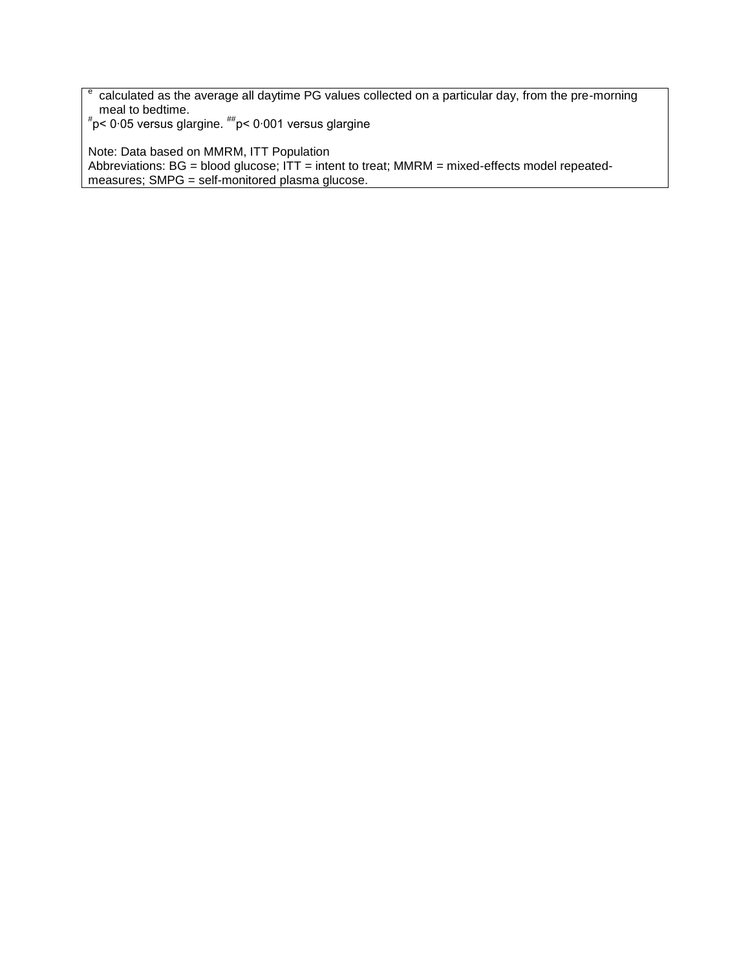e calculated as the average all daytime PG values collected on a particular day, from the pre-morning meal to bedtime.<br><sup>#</sup>p< 0·05 versus glargine. <sup>##</sup>p< 0·001 versus glargine

Note: Data based on MMRM, ITT Population Abbreviations: BG = blood glucose; ITT = intent to treat; MMRM = mixed-effects model repeatedmeasures; SMPG = self-monitored plasma glucose.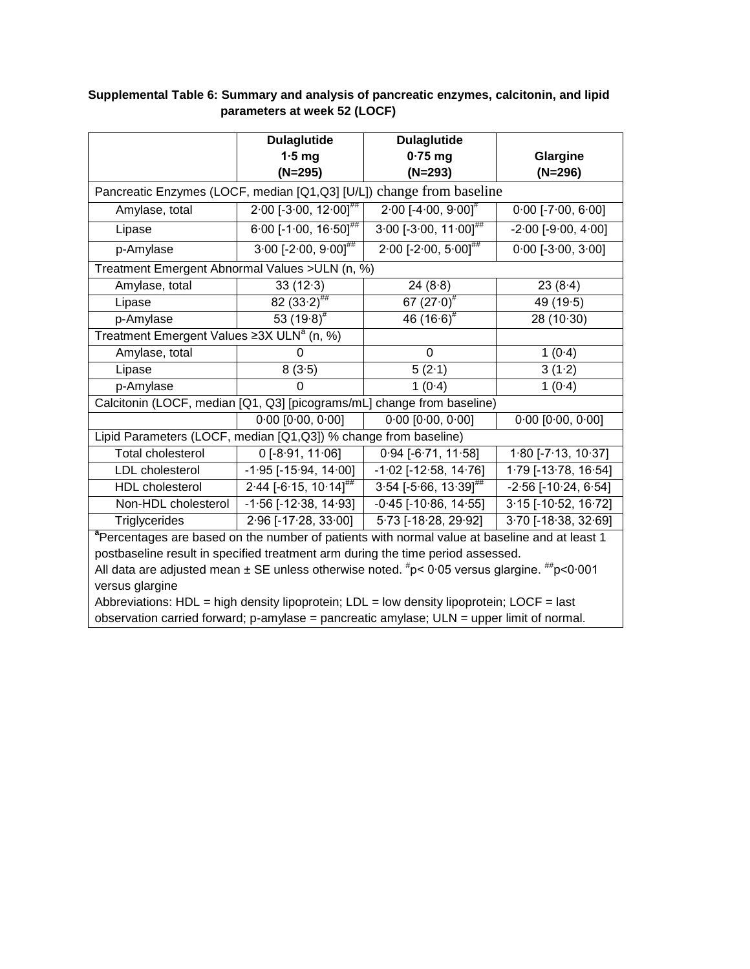|                                                                                                                                           | <b>Dulaglutide</b>                  | <b>Dulaglutide</b>                  |                               |  |  |  |  |
|-------------------------------------------------------------------------------------------------------------------------------------------|-------------------------------------|-------------------------------------|-------------------------------|--|--|--|--|
|                                                                                                                                           | $1.5$ mg                            | $0.75$ mg                           | Glargine                      |  |  |  |  |
|                                                                                                                                           | $(N=295)$                           | $(N=293)$                           | $(N=296)$                     |  |  |  |  |
| change from baseline<br>Pancreatic Enzymes (LOCF, median [Q1,Q3] [U/L])                                                                   |                                     |                                     |                               |  |  |  |  |
| Amylase, total                                                                                                                            | $2.00$ [-3.00, 12.00] <sup>##</sup> | $2.00[-4.00, 9.00]^{\text{*}}$      | $0.00$ [-7.00, 6.00]          |  |  |  |  |
| Lipase                                                                                                                                    | $6.00$ [-1.00, 16.50] <sup>##</sup> | $3.00$ [-3.00, 11.00] <sup>##</sup> | $-2.00[-9.00, 4.00]$          |  |  |  |  |
| p-Amylase                                                                                                                                 | $3.00$ [-2.00, 9.00] <sup>##</sup>  | $2.00$ [-2.00, 5.00] <sup>##</sup>  | $0.00$ [-3.00, 3.00]          |  |  |  |  |
| Treatment Emergent Abnormal Values > ULN (n, %)                                                                                           |                                     |                                     |                               |  |  |  |  |
| Amylase, total                                                                                                                            | 33(12.3)                            | 24(8.8)                             | 23(8.4)                       |  |  |  |  |
| Lipase                                                                                                                                    | $82(33.2)$ ##                       | 67 $(27.0)^*$                       | 49(19.5)                      |  |  |  |  |
| p-Amylase                                                                                                                                 | 53 $(19.8)^{\#}$                    | 46 $(16.6)^{\#}$                    | 28 (10.30)                    |  |  |  |  |
| Treatment Emergent Values $\geq 3X$ ULN <sup>a</sup> (n, %)                                                                               |                                     |                                     |                               |  |  |  |  |
| Amylase, total                                                                                                                            | 0                                   | $\Omega$                            | 1(0.4)                        |  |  |  |  |
| Lipase                                                                                                                                    | 8(3.5)                              | 5(2.1)                              | 3(1.2)                        |  |  |  |  |
| p-Amylase                                                                                                                                 | $\Omega$                            | 1(0.4)                              | 1(0.4)                        |  |  |  |  |
| Calcitonin (LOCF, median [Q1, Q3] [picograms/mL] change from baseline)                                                                    |                                     |                                     |                               |  |  |  |  |
|                                                                                                                                           | $0.00$ [ $0.00$ , $0.00$ ]          | $0.00$ [ $0.00$ , $0.00$ ]          | $0.00$ [ $0.00$ , $0.00$ ]    |  |  |  |  |
| Lipid Parameters (LOCF, median [Q1,Q3]) % change from baseline)                                                                           |                                     |                                     |                               |  |  |  |  |
| <b>Total cholesterol</b>                                                                                                                  | $0$ [-8.91, 11.06]                  | $0.94$ [-6.71, 11.58]               | $1.80$ [-7.13, 10.37]         |  |  |  |  |
| LDL cholesterol                                                                                                                           | $-1.95$ [ $-15.94$ , $14.00$ ]      | $-1.02$ [ $-12.58$ , $14.76$ ]      | $1.79$ [-13.78, 16.54]        |  |  |  |  |
| <b>HDL</b> cholesterol                                                                                                                    | $2.44$ [-6.15, 10.14] <sup>##</sup> | $3.54$ [-5.66, 13.39] <sup>##</sup> | $-2.56$ [ $-10.24$ , $6.54$ ] |  |  |  |  |
| Non-HDL cholesterol                                                                                                                       | $-1.56$ [ $-12.38$ , $14.93$ ]      | $-0.45$ [ $-10.86$ , $14.55$ ]      | $3.15$ [-10.52, 16.72]        |  |  |  |  |
| Triglycerides                                                                                                                             | 2.96 [-17.28, 33.00]                | 5.73 [-18.28, 29.92]                | $3.70$ [-18.38, 32.69]        |  |  |  |  |
| <sup>a</sup> Percentages are based on the number of patients with normal value at baseline and at least 1                                 |                                     |                                     |                               |  |  |  |  |
| postbaseline result in specified treatment arm during the time period assessed.                                                           |                                     |                                     |                               |  |  |  |  |
| All data are adjusted mean $\pm$ SE unless otherwise noted. $\textsuperscript{#}p$ < 0.05 versus glargine. $\textsuperscript{#}p$ < 0.001 |                                     |                                     |                               |  |  |  |  |
| versus glargine                                                                                                                           |                                     |                                     |                               |  |  |  |  |
| Abbreviations: HDL = high density lipoprotein; LDL = low density lipoprotein; LOCF = last                                                 |                                     |                                     |                               |  |  |  |  |
| observation carried forward; p-amylase = pancreatic amylase; ULN = upper limit of normal.                                                 |                                     |                                     |                               |  |  |  |  |

## **Supplemental Table 6: Summary and analysis of pancreatic enzymes, calcitonin, and lipid parameters at week 52 (LOCF)**